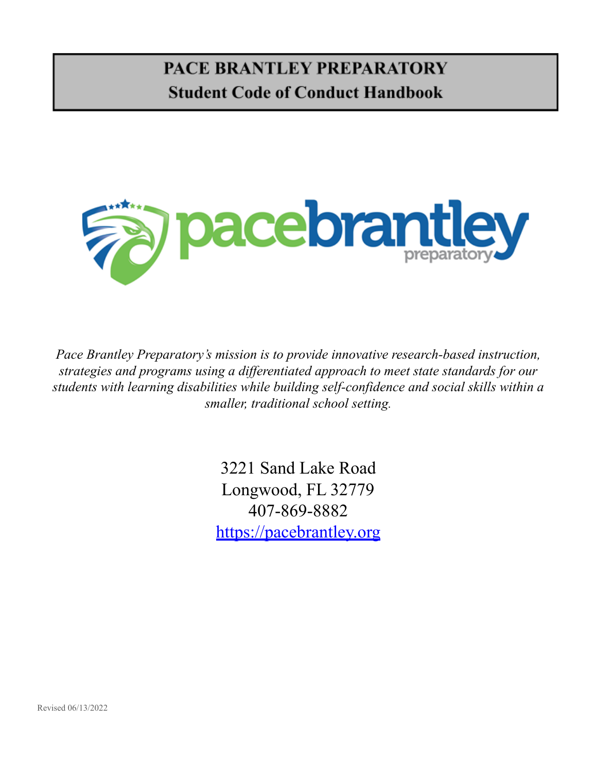# **PACE BRANTLEY PREPARATORY Student Code of Conduct Handbook**



*Pace Brantley Preparatory's mission is to provide innovative research-based instruction, strategies and programs using a dif erentiated approach to meet state standards for our students with learning disabilities while building self-confidence and social skills within a smaller, traditional school setting.*

> 3221 Sand Lake Road Longwood, FL 32779 407-869-8882 <https://pacebrantley.org>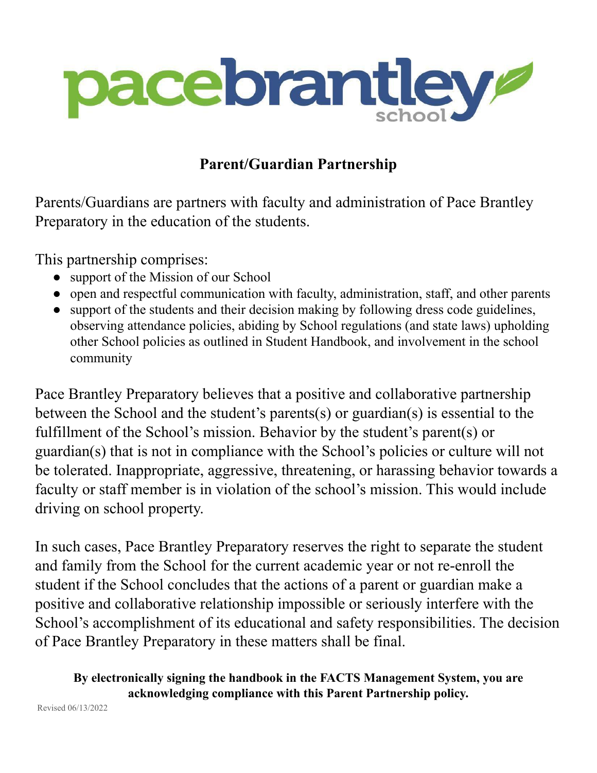

# **Parent/Guardian Partnership**

Parents/Guardians are partners with faculty and administration of Pace Brantley Preparatory in the education of the students.

This partnership comprises:

- support of the Mission of our School
- open and respectful communication with faculty, administration, staff, and other parents
- support of the students and their decision making by following dress code guidelines, observing attendance policies, abiding by School regulations (and state laws) upholding other School policies as outlined in Student Handbook, and involvement in the school community

Pace Brantley Preparatory believes that a positive and collaborative partnership between the School and the student's parents(s) or guardian(s) is essential to the fulfillment of the School's mission. Behavior by the student's parent(s) or guardian(s) that is not in compliance with the School's policies or culture will not be tolerated. Inappropriate, aggressive, threatening, or harassing behavior towards a faculty or staff member is in violation of the school's mission. This would include driving on school property.

In such cases, Pace Brantley Preparatory reserves the right to separate the student and family from the School for the current academic year or not re-enroll the student if the School concludes that the actions of a parent or guardian make a positive and collaborative relationship impossible or seriously interfere with the School's accomplishment of its educational and safety responsibilities. The decision of Pace Brantley Preparatory in these matters shall be final.

# **By electronically signing the handbook in the FACTS Management System, you are acknowledging compliance with this Parent Partnership policy.**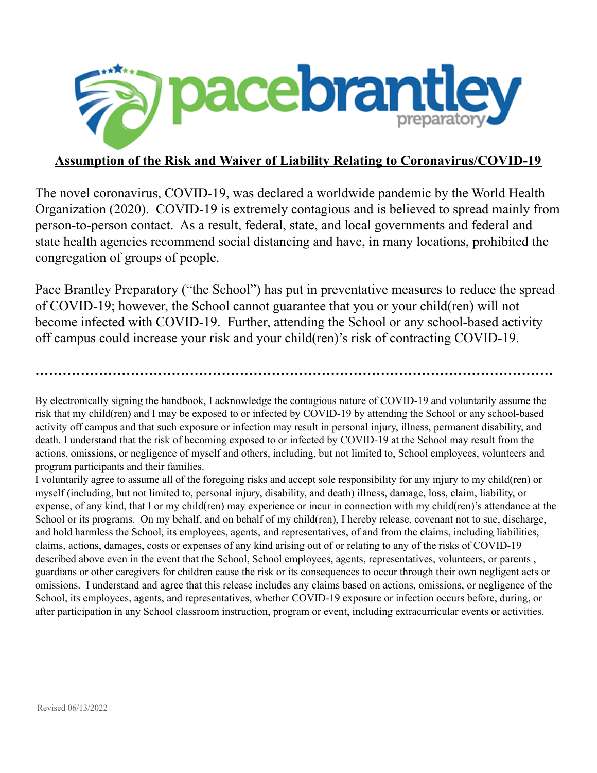

# **Assumption of the Risk and Waiver of Liability Relating to Coronavirus/COVID-19**

The novel coronavirus, COVID-19, was declared a worldwide pandemic by the World Health Organization (2020). COVID-19 is extremely contagious and is believed to spread mainly from person-to-person contact. As a result, federal, state, and local governments and federal and state health agencies recommend social distancing and have, in many locations, prohibited the congregation of groups of people.

Pace Brantley Preparatory ("the School") has put in preventative measures to reduce the spread of COVID-19; however, the School cannot guarantee that you or your child(ren) will not become infected with COVID-19. Further, attending the School or any school-based activity off campus could increase your risk and your child(ren)'s risk of contracting COVID-19.

**……………………………………………………………………………………………………**

By electronically signing the handbook, I acknowledge the contagious nature of COVID-19 and voluntarily assume the risk that my child(ren) and I may be exposed to or infected by COVID-19 by attending the School or any school-based activity off campus and that such exposure or infection may result in personal injury, illness, permanent disability, and death. I understand that the risk of becoming exposed to or infected by COVID-19 at the School may result from the actions, omissions, or negligence of myself and others, including, but not limited to, School employees, volunteers and program participants and their families.

I voluntarily agree to assume all of the foregoing risks and accept sole responsibility for any injury to my child(ren) or myself (including, but not limited to, personal injury, disability, and death) illness, damage, loss, claim, liability, or expense, of any kind, that I or my child(ren) may experience or incur in connection with my child(ren)'s attendance at the School or its programs. On my behalf, and on behalf of my child(ren), I hereby release, covenant not to sue, discharge, and hold harmless the School, its employees, agents, and representatives, of and from the claims, including liabilities, claims, actions, damages, costs or expenses of any kind arising out of or relating to any of the risks of COVID-19 described above even in the event that the School, School employees, agents, representatives, volunteers, or parents, guardians or other caregivers for children cause the risk or its consequences to occur through their own negligent acts or omissions. I understand and agree that this release includes any claims based on actions, omissions, or negligence of the School, its employees, agents, and representatives, whether COVID-19 exposure or infection occurs before, during, or after participation in any School classroom instruction, program or event, including extracurricular events or activities.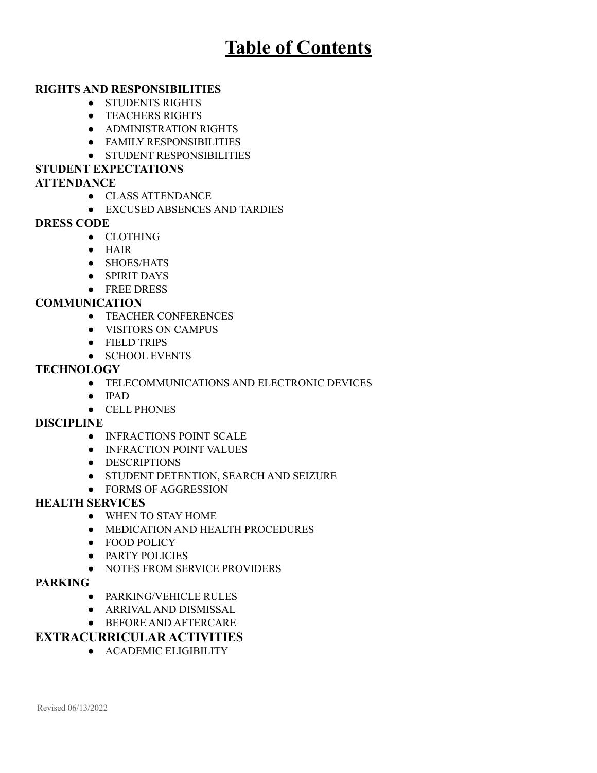# **Table of Contents**

## **RIGHTS AND RESPONSIBILITIES**

- STUDENTS RIGHTS
- TEACHERS RIGHTS
- ADMINISTRATION RIGHTS
- FAMILY RESPONSIBILITIES
- STUDENT RESPONSIBILITIES

# **STUDENT EXPECTATIONS**

### **ATTENDANCE**

**●** CLASS ATTENDANCE

### ● EXCUSED ABSENCES AND TARDIES

### **DRESS CODE**

- CLOTHING
- $\bullet$  HAIR
- SHOES/HATS
- SPIRIT DAYS
- FREE DRESS

### **COMMUNICATION**

- TEACHER CONFERENCES
- VISITORS ON CAMPUS
- FIELD TRIPS
- SCHOOL EVENTS

#### **TECHNOLOGY**

- TELECOMMUNICATIONS AND ELECTRONIC DEVICES
- IPAD
- CELL PHONES

#### **DISCIPLINE**

- INFRACTIONS POINT SCALE
- **INFRACTION POINT VALUES**
- DESCRIPTIONS
- STUDENT DETENTION, SEARCH AND SEIZURE
- FORMS OF AGGRESSION

#### **HEALTH SERVICES**

- WHEN TO STAY HOME
- MEDICATION AND HEALTH PROCEDURES
- FOOD POLICY
- PARTY POLICIES
- NOTES FROM SERVICE PROVIDERS

#### **PARKING**

- PARKING/VEHICLE RULES
- ARRIVAL AND DISMISSAL
- BEFORE AND AFTERCARE

# **EXTRACURRICULAR ACTIVITIES**

● ACADEMIC ELIGIBILITY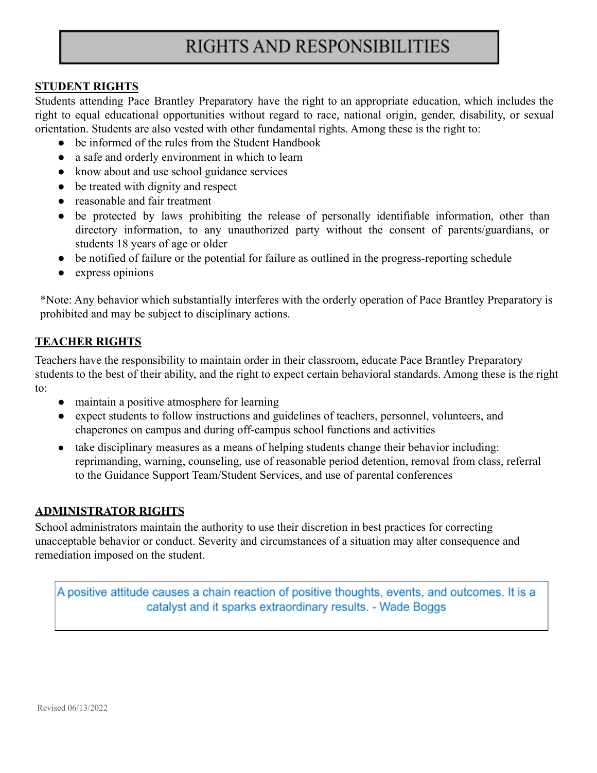# RIGHTS AND RESPONSIBILITIES

#### **STUDENT RIGHTS**

Students attending Pace Brantley Preparatory have the right to an appropriate education, which includes the right to equal educational opportunities without regard to race, national origin, gender, disability, or sexual orientation. Students are also vested with other fundamental rights. Among these is the right to:

- be informed of the rules from the Student Handbook
- a safe and orderly environment in which to learn
- know about and use school guidance services
- be treated with dignity and respect
- reasonable and fair treatment
- be protected by laws prohibiting the release of personally identifiable information, other than directory information, to any unauthorized party without the consent of parents/guardians, or students 18 years of age or older
- be notified of failure or the potential for failure as outlined in the progress-reporting schedule
- express opinions

\*Note: Any behavior which substantially interferes with the orderly operation of Pace Brantley Preparatory is prohibited and may be subject to disciplinary actions.

## **TEACHER RIGHTS**

Teachers have the responsibility to maintain order in their classroom, educate Pace Brantley Preparatory students to the best of their ability, and the right to expect certain behavioral standards. Among these is the right to:

- maintain a positive atmosphere for learning
- expect students to follow instructions and guidelines of teachers, personnel, volunteers, and chaperones on campus and during off-campus school functions and activities
- take disciplinary measures as a means of helping students change their behavior including: reprimanding, warning, counseling, use of reasonable period detention, removal from class, referral to the Guidance Support Team/Student Services, and use of parental conferences

## **ADMINISTRATOR RIGHTS**

School administrators maintain the authority to use their discretion in best practices for correcting unacceptable behavior or conduct. Severity and circumstances of a situation may alter consequence and remediation imposed on the student.

A positive attitude causes a chain reaction of positive thoughts, events, and outcomes. It is a catalyst and it sparks extraordinary results. - Wade Boggs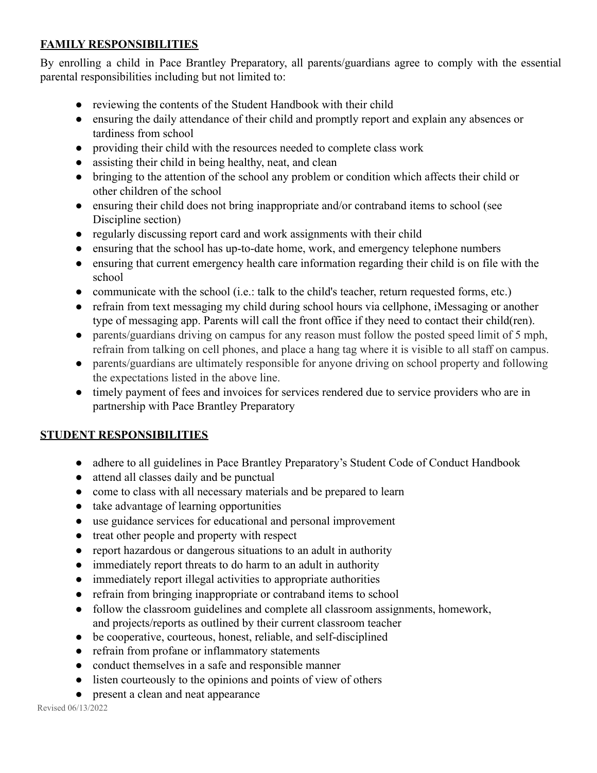# **FAMILY RESPONSIBILITIES**

By enrolling a child in Pace Brantley Preparatory, all parents/guardians agree to comply with the essential parental responsibilities including but not limited to:

- reviewing the contents of the Student Handbook with their child
- ensuring the daily attendance of their child and promptly report and explain any absences or tardiness from school
- providing their child with the resources needed to complete class work
- assisting their child in being healthy, neat, and clean
- bringing to the attention of the school any problem or condition which affects their child or other children of the school
- ensuring their child does not bring inappropriate and/or contraband items to school (see Discipline section)
- regularly discussing report card and work assignments with their child
- ensuring that the school has up-to-date home, work, and emergency telephone numbers
- ensuring that current emergency health care information regarding their child is on file with the school
- communicate with the school (i.e.: talk to the child's teacher, return requested forms, etc.)
- refrain from text messaging my child during school hours via cellphone, iMessaging or another type of messaging app. Parents will call the front office if they need to contact their child(ren).
- parents/guardians driving on campus for any reason must follow the posted speed limit of 5 mph, refrain from talking on cell phones, and place a hang tag where it is visible to all staff on campus.
- parents/guardians are ultimately responsible for anyone driving on school property and following the expectations listed in the above line.
- timely payment of fees and invoices for services rendered due to service providers who are in partnership with Pace Brantley Preparatory

## **STUDENT RESPONSIBILITIES**

- adhere to all guidelines in Pace Brantley Preparatory's Student Code of Conduct Handbook
- attend all classes daily and be punctual
- come to class with all necessary materials and be prepared to learn
- take advantage of learning opportunities
- use guidance services for educational and personal improvement
- treat other people and property with respect
- report hazardous or dangerous situations to an adult in authority
- immediately report threats to do harm to an adult in authority
- immediately report illegal activities to appropriate authorities
- refrain from bringing inappropriate or contraband items to school
- follow the classroom guidelines and complete all classroom assignments, homework, and projects/reports as outlined by their current classroom teacher
- be cooperative, courteous, honest, reliable, and self-disciplined
- refrain from profane or inflammatory statements
- conduct themselves in a safe and responsible manner
- listen courteously to the opinions and points of view of others
- present a clean and neat appearance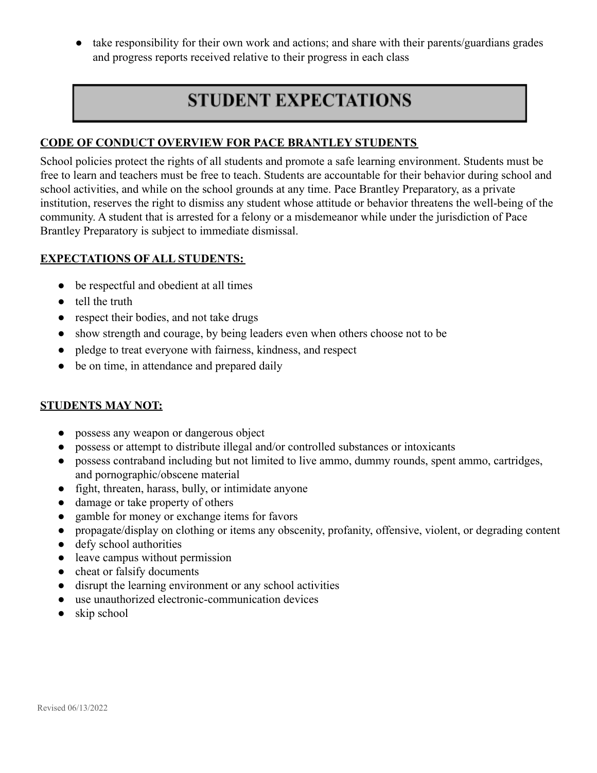• take responsibility for their own work and actions; and share with their parents/guardians grades and progress reports received relative to their progress in each class

# **STUDENT EXPECTATIONS**

## **CODE OF CONDUCT OVERVIEW FOR PACE BRANTLEY STUDENTS**

School policies protect the rights of all students and promote a safe learning environment. Students must be free to learn and teachers must be free to teach. Students are accountable for their behavior during school and school activities, and while on the school grounds at any time. Pace Brantley Preparatory, as a private institution, reserves the right to dismiss any student whose attitude or behavior threatens the well-being of the community. A student that is arrested for a felony or a misdemeanor while under the jurisdiction of Pace Brantley Preparatory is subject to immediate dismissal.

# **EXPECTATIONS OF ALL STUDENTS:**

- be respectful and obedient at all times
- tell the truth
- respect their bodies, and not take drugs
- show strength and courage, by being leaders even when others choose not to be
- pledge to treat everyone with fairness, kindness, and respect
- be on time, in attendance and prepared daily

## **STUDENTS MAY NOT:**

- possess any weapon or dangerous object
- possess or attempt to distribute illegal and/or controlled substances or intoxicants
- possess contraband including but not limited to live ammo, dummy rounds, spent ammo, cartridges, and pornographic/obscene material
- fight, threaten, harass, bully, or intimidate anyone
- damage or take property of others
- gamble for money or exchange items for favors
- propagate/display on clothing or items any obscenity, profanity, offensive, violent, or degrading content
- defy school authorities
- leave campus without permission
- cheat or falsify documents
- disrupt the learning environment or any school activities
- use unauthorized electronic-communication devices
- $\bullet$  skip school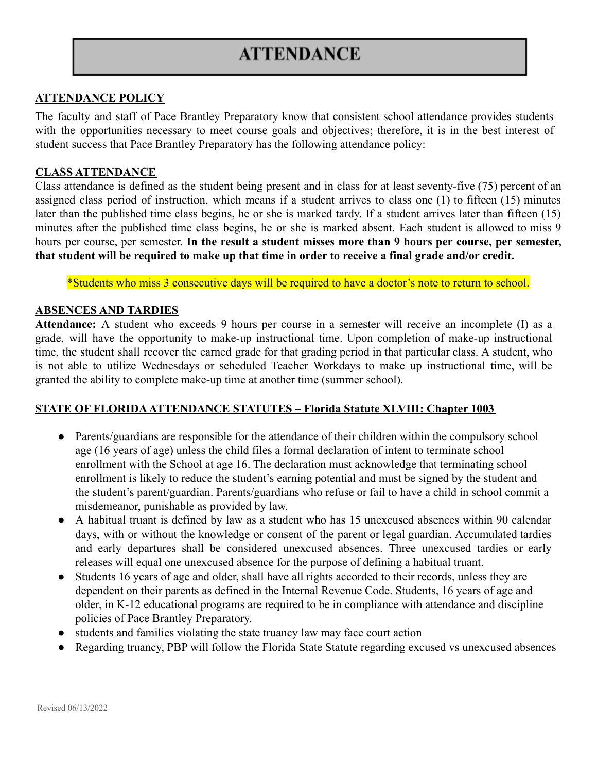# **ATTENDANCE**

### **ATTENDANCE POLICY**

The faculty and staff of Pace Brantley Preparatory know that consistent school attendance provides students with the opportunities necessary to meet course goals and objectives; therefore, it is in the best interest of student success that Pace Brantley Preparatory has the following attendance policy:

#### **CLASS ATTENDANCE**

Class attendance is defined as the student being present and in class for at least seventy-five (75) percent of an assigned class period of instruction, which means if a student arrives to class one (1) to fifteen (15) minutes later than the published time class begins, he or she is marked tardy. If a student arrives later than fifteen (15) minutes after the published time class begins, he or she is marked absent. Each student is allowed to miss 9 hours per course, per semester. **In the result a student misses more than 9 hours per course, per semester, that student will be required to make up that time in order to receive a final grade and/or credit.**

\*Students who miss 3 consecutive days will be required to have a doctor's note to return to school.

#### **ABSENCES AND TARDIES**

**Attendance:** A student who exceeds 9 hours per course in a semester will receive an incomplete (I) as a grade, will have the opportunity to make-up instructional time. Upon completion of make-up instructional time, the student shall recover the earned grade for that grading period in that particular class. A student, who is not able to utilize Wednesdays or scheduled Teacher Workdays to make up instructional time, will be granted the ability to complete make-up time at another time (summer school).

#### **STATE OF FLORIDAATTENDANCE STATUTES – Florida Statute XLVIII: Chapter 1003**

- Parents/guardians are responsible for the attendance of their children within the compulsory school age (16 years of age) unless the child files a formal declaration of intent to terminate school enrollment with the School at age 16. The declaration must acknowledge that terminating school enrollment is likely to reduce the student's earning potential and must be signed by the student and the student's parent/guardian. Parents/guardians who refuse or fail to have a child in school commit a misdemeanor, punishable as provided by law.
- A habitual truant is defined by law as a student who has 15 unexcused absences within 90 calendar days, with or without the knowledge or consent of the parent or legal guardian. Accumulated tardies and early departures shall be considered unexcused absences. Three unexcused tardies or early releases will equal one unexcused absence for the purpose of defining a habitual truant.
- Students 16 years of age and older, shall have all rights accorded to their records, unless they are dependent on their parents as defined in the Internal Revenue Code. Students, 16 years of age and older, in K-12 educational programs are required to be in compliance with attendance and discipline policies of Pace Brantley Preparatory.
- students and families violating the state truancy law may face court action
- **●** Regarding truancy, PBP will follow the Florida State Statute regarding excused vs unexcused absences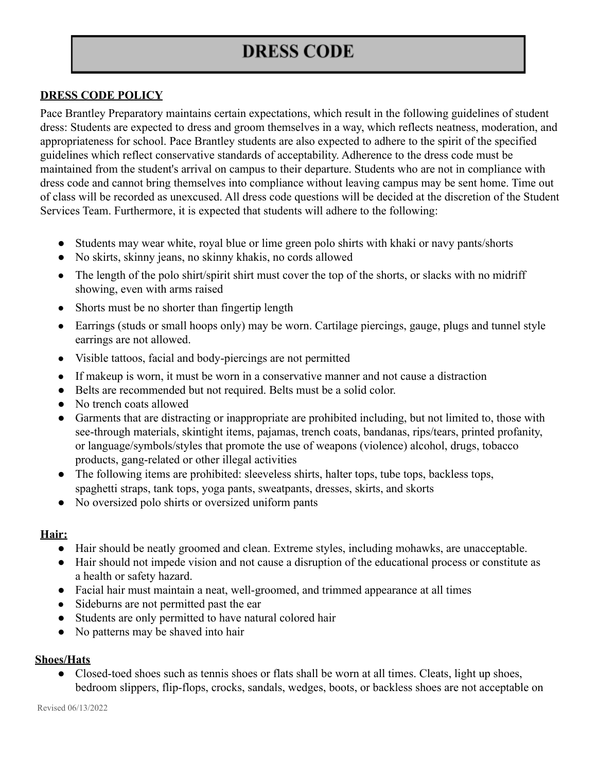# **DRESS CODE**

# **DRESS CODE POLICY**

Pace Brantley Preparatory maintains certain expectations, which result in the following guidelines of student dress: Students are expected to dress and groom themselves in a way, which reflects neatness, moderation, and appropriateness for school. Pace Brantley students are also expected to adhere to the spirit of the specified guidelines which reflect conservative standards of acceptability. Adherence to the dress code must be maintained from the student's arrival on campus to their departure. Students who are not in compliance with dress code and cannot bring themselves into compliance without leaving campus may be sent home. Time out of class will be recorded as unexcused. All dress code questions will be decided at the discretion of the Student Services Team. Furthermore, it is expected that students will adhere to the following:

- Students may wear white, royal blue or lime green polo shirts with khaki or navy pants/shorts
- No skirts, skinny jeans, no skinny khakis, no cords allowed
- The length of the polo shirt/spirit shirt must cover the top of the shorts, or slacks with no midriff showing, even with arms raised
- Shorts must be no shorter than fingertip length
- Earrings (studs or small hoops only) may be worn. Cartilage piercings, gauge, plugs and tunnel style earrings are not allowed.
- Visible tattoos, facial and body-piercings are not permitted
- If makeup is worn, it must be worn in a conservative manner and not cause a distraction
- Belts are recommended but not required. Belts must be a solid color.
- No trench coats allowed
- Garments that are distracting or inappropriate are prohibited including, but not limited to, those with see-through materials, skintight items, pajamas, trench coats, bandanas, rips/tears, printed profanity, or language/symbols/styles that promote the use of weapons (violence) alcohol, drugs, tobacco products, gang-related or other illegal activities
- The following items are prohibited: sleeveless shirts, halter tops, tube tops, backless tops, spaghetti straps, tank tops, yoga pants, sweatpants, dresses, skirts, and skorts
- No oversized polo shirts or oversized uniform pants

## **Hair:**

- Hair should be neatly groomed and clean. Extreme styles, including mohawks, are unacceptable.
- Hair should not impede vision and not cause a disruption of the educational process or constitute as a health or safety hazard.
- Facial hair must maintain a neat, well-groomed, and trimmed appearance at all times
- Sideburns are not permitted past the ear
- Students are only permitted to have natural colored hair
- No patterns may be shaved into hair

## **Shoes/Hats**

• Closed-toed shoes such as tennis shoes or flats shall be worn at all times. Cleats, light up shoes, bedroom slippers, flip-flops, crocks, sandals, wedges, boots, or backless shoes are not acceptable on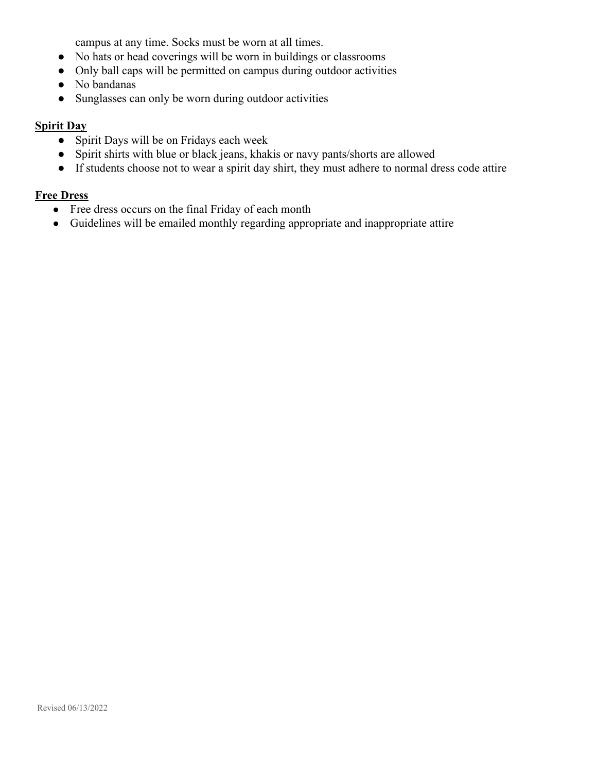campus at any time. Socks must be worn at all times.

- No hats or head coverings will be worn in buildings or classrooms
- Only ball caps will be permitted on campus during outdoor activities
- No bandanas
- Sunglasses can only be worn during outdoor activities

### **Spirit Day**

- Spirit Days will be on Fridays each week
- Spirit shirts with blue or black jeans, khakis or navy pants/shorts are allowed
- If students choose not to wear a spirit day shirt, they must adhere to normal dress code attire

# **Free Dress**

- Free dress occurs on the final Friday of each month
- Guidelines will be emailed monthly regarding appropriate and inappropriate attire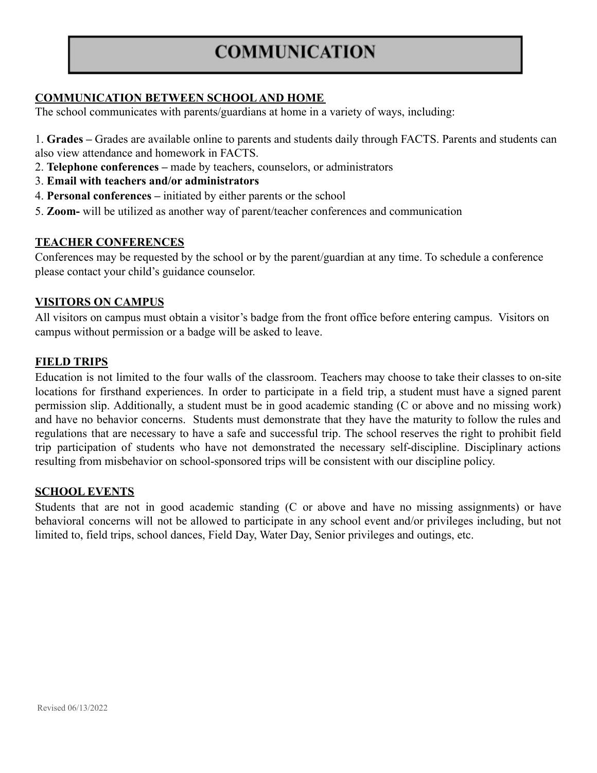# **COMMUNICATION**

# **COMMUNICATION BETWEEN SCHOOL AND HOME**

The school communicates with parents/guardians at home in a variety of ways, including:

- 1. **Grades –** Grades are available online to parents and students daily through FACTS. Parents and students can also view attendance and homework in FACTS.
- 2. **Telephone conferences –** made by teachers, counselors, or administrators
- 3. **Email with teachers and/or administrators**
- 4. **Personal conferences –** initiated by either parents or the school
- 5. **Zoom-** will be utilized as another way of parent/teacher conferences and communication

### **TEACHER CONFERENCES**

Conferences may be requested by the school or by the parent/guardian at any time. To schedule a conference please contact your child's guidance counselor.

### **VISITORS ON CAMPUS**

All visitors on campus must obtain a visitor's badge from the front office before entering campus. Visitors on campus without permission or a badge will be asked to leave.

### **FIELD TRIPS**

Education is not limited to the four walls of the classroom. Teachers may choose to take their classes to on-site locations for firsthand experiences. In order to participate in a field trip, a student must have a signed parent permission slip. Additionally, a student must be in good academic standing (C or above and no missing work) and have no behavior concerns. Students must demonstrate that they have the maturity to follow the rules and regulations that are necessary to have a safe and successful trip. The school reserves the right to prohibit field trip participation of students who have not demonstrated the necessary self-discipline. Disciplinary actions resulting from misbehavior on school-sponsored trips will be consistent with our discipline policy.

#### **SCHOOL EVENTS**

Students that are not in good academic standing (C or above and have no missing assignments) or have behavioral concerns will not be allowed to participate in any school event and/or privileges including, but not limited to, field trips, school dances, Field Day, Water Day, Senior privileges and outings, etc.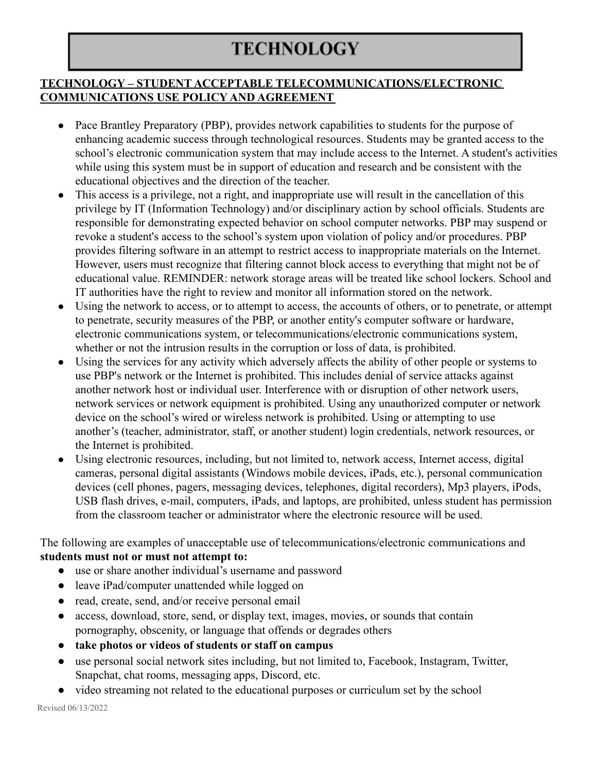# **TECHNOLOGY**

# **TECHNOLOGY – STUDENT ACCEPTABLE TELECOMMUNICATIONS/ELECTRONIC COMMUNICATIONS USE POLICY AND AGREEMENT**

- Pace Brantley Preparatory (PBP), provides network capabilities to students for the purpose of enhancing academic success through technological resources. Students may be granted access to the school's electronic communication system that may include access to the Internet. A student's activities while using this system must be in support of education and research and be consistent with the educational objectives and the direction of the teacher.
- This access is a privilege, not a right, and inappropriate use will result in the cancellation of this privilege by IT (Information Technology) and/or disciplinary action by school officials. Students are responsible for demonstrating expected behavior on school computer networks. PBP may suspend or revoke a student's access to the school's system upon violation of policy and/or procedures. PBP provides filtering software in an attempt to restrict access to inappropriate materials on the Internet. However, users must recognize that filtering cannot block access to everything that might not be of educational value. REMINDER: network storage areas will be treated like school lockers. School and IT authorities have the right to review and monitor all information stored on the network.
- Using the network to access, or to attempt to access, the accounts of others, or to penetrate, or attempt to penetrate, security measures of the PBP, or another entity's computer software or hardware, electronic communications system, or telecommunications/electronic communications system, whether or not the intrusion results in the corruption or loss of data, is prohibited.
- Using the services for any activity which adversely affects the ability of other people or systems to use PBP's network or the Internet is prohibited. This includes denial of service attacks against another network host or individual user. Interference with or disruption of other network users, network services or network equipment is prohibited. Using any unauthorized computer or network device on the school's wired or wireless network is prohibited. Using or attempting to use another's (teacher, administrator, staff, or another student) login credentials, network resources, or the Internet is prohibited.
- Using electronic resources, including, but not limited to, network access, Internet access, digital cameras, personal digital assistants (Windows mobile devices, iPads, etc.), personal communication devices (cell phones, pagers, messaging devices, telephones, digital recorders), Mp3 players, iPods, USB flash drives, e-mail, computers, iPads, and laptops, are prohibited, unless student has permission from the classroom teacher or administrator where the electronic resource will be used.

The following are examples of unacceptable use of telecommunications/electronic communications and **students must not or must not attempt to:**

- use or share another individual's username and password
- leave iPad/computer unattended while logged on
- read, create, send, and/or receive personal email
- access, download, store, send, or display text, images, movies, or sounds that contain pornography, obscenity, or language that offends or degrades others
- **● take photos or videos of students or staff on campus**
- use personal social network sites including, but not limited to, Facebook, Instagram, Twitter, Snapchat, chat rooms, messaging apps, Discord, etc.
- video streaming not related to the educational purposes or curriculum set by the school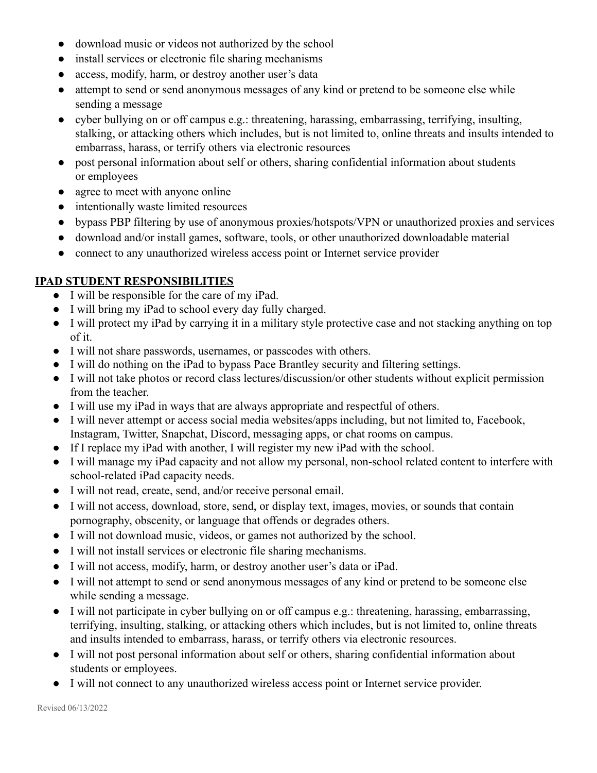- download music or videos not authorized by the school
- install services or electronic file sharing mechanisms
- access, modify, harm, or destroy another user's data
- attempt to send or send anonymous messages of any kind or pretend to be someone else while sending a message
- cyber bullying on or off campus e.g.: threatening, harassing, embarrassing, terrifying, insulting, stalking, or attacking others which includes, but is not limited to, online threats and insults intended to embarrass, harass, or terrify others via electronic resources
- post personal information about self or others, sharing confidential information about students or employees
- agree to meet with anyone online
- intentionally waste limited resources
- bypass PBP filtering by use of anonymous proxies/hotspots/VPN or unauthorized proxies and services
- download and/or install games, software, tools, or other unauthorized downloadable material
- connect to any unauthorized wireless access point or Internet service provider

# **IPAD STUDENT RESPONSIBILITIES**

- I will be responsible for the care of my iPad.
- I will bring my iPad to school every day fully charged.
- I will protect my iPad by carrying it in a military style protective case and not stacking anything on top of it.
- I will not share passwords, usernames, or passcodes with others.
- I will do nothing on the iPad to bypass Pace Brantley security and filtering settings.
- I will not take photos or record class lectures/discussion/or other students without explicit permission from the teacher.
- I will use my iPad in ways that are always appropriate and respectful of others.
- I will never attempt or access social media websites/apps including, but not limited to, Facebook, Instagram, Twitter, Snapchat, Discord, messaging apps, or chat rooms on campus.
- If I replace my iPad with another, I will register my new iPad with the school.
- I will manage my iPad capacity and not allow my personal, non-school related content to interfere with school-related iPad capacity needs.
- I will not read, create, send, and/or receive personal email.
- I will not access, download, store, send, or display text, images, movies, or sounds that contain pornography, obscenity, or language that offends or degrades others.
- I will not download music, videos, or games not authorized by the school.
- I will not install services or electronic file sharing mechanisms.
- I will not access, modify, harm, or destroy another user's data or iPad.
- I will not attempt to send or send anonymous messages of any kind or pretend to be someone else while sending a message.
- I will not participate in cyber bullying on or off campus e.g.: threatening, harassing, embarrassing, terrifying, insulting, stalking, or attacking others which includes, but is not limited to, online threats and insults intended to embarrass, harass, or terrify others via electronic resources.
- I will not post personal information about self or others, sharing confidential information about students or employees.
- I will not connect to any unauthorized wireless access point or Internet service provider.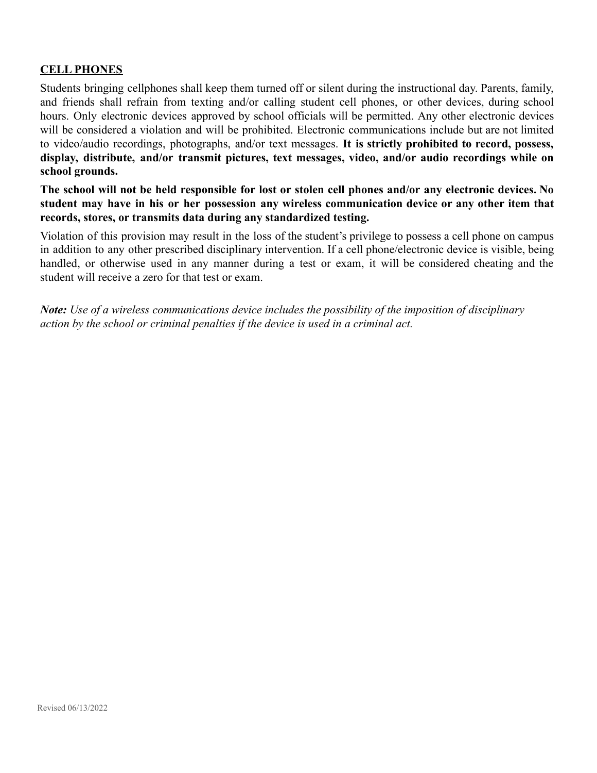# **CELL PHONES**

Students bringing cellphones shall keep them turned off or silent during the instructional day. Parents, family, and friends shall refrain from texting and/or calling student cell phones, or other devices, during school hours. Only electronic devices approved by school officials will be permitted. Any other electronic devices will be considered a violation and will be prohibited. Electronic communications include but are not limited to video/audio recordings, photographs, and/or text messages. **It is strictly prohibited to record, possess, display, distribute, and/or transmit pictures, text messages, video, and/or audio recordings while on school grounds.**

The school will not be held responsible for lost or stolen cell phones and/or any electronic devices. No **student may have in his or her possession any wireless communication device or any other item that records, stores, or transmits data during any standardized testing.**

Violation of this provision may result in the loss of the student's privilege to possess a cell phone on campus in addition to any other prescribed disciplinary intervention. If a cell phone/electronic device is visible, being handled, or otherwise used in any manner during a test or exam, it will be considered cheating and the student will receive a zero for that test or exam.

*Note: Use of a wireless communications device includes the possibility of the imposition of disciplinary action by the school or criminal penalties if the device is used in a criminal act.*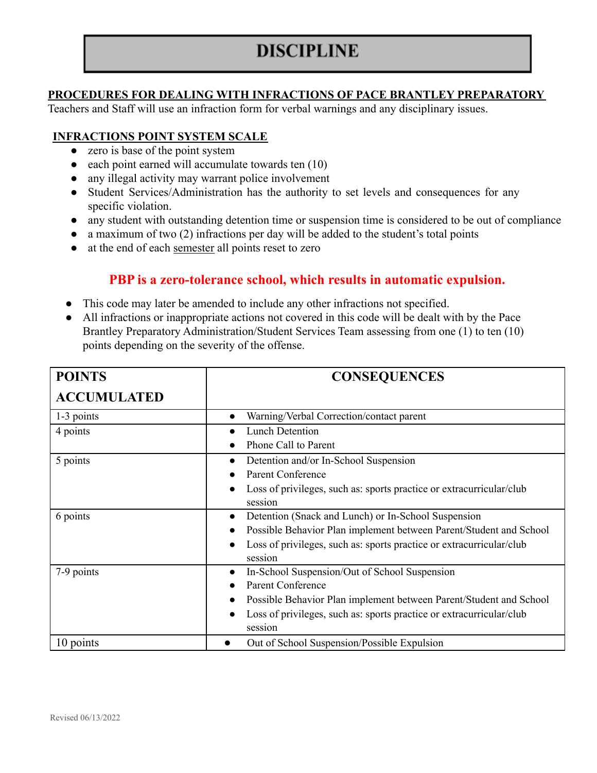# **DISCIPLINE**

### **PROCEDURES FOR DEALING WITH INFRACTIONS OF PACE BRANTLEY PREPARATORY**

Teachers and Staff will use an infraction form for verbal warnings and any disciplinary issues.

## **INFRACTIONS POINT SYSTEM SCALE**

- zero is base of the point system
- $\bullet$  each point earned will accumulate towards ten  $(10)$
- any illegal activity may warrant police involvement
- Student Services/Administration has the authority to set levels and consequences for any specific violation.
- any student with outstanding detention time or suspension time is considered to be out of compliance
- $\bullet$  a maximum of two (2) infractions per day will be added to the student's total points
- at the end of each semester all points reset to zero

# **PBP is a zero-tolerance school, which results in automatic expulsion.**

- This code may later be amended to include any other infractions not specified.
- All infractions or inappropriate actions not covered in this code will be dealt with by the Pace Brantley Preparatory Administration/Student Services Team assessing from one (1) to ten (10) points depending on the severity of the offense.

| <b>POINTS</b>      | <b>CONSEQUENCES</b>                                                               |
|--------------------|-----------------------------------------------------------------------------------|
| <b>ACCUMULATED</b> |                                                                                   |
| 1-3 points         | Warning/Verbal Correction/contact parent<br>$\bullet$                             |
| 4 points           | <b>Lunch Detention</b>                                                            |
|                    | Phone Call to Parent                                                              |
| 5 points           | Detention and/or In-School Suspension<br>$\bullet$                                |
|                    | <b>Parent Conference</b>                                                          |
|                    | Loss of privileges, such as: sports practice or extracurricular/club              |
|                    | session                                                                           |
| 6 points           | Detention (Snack and Lunch) or In-School Suspension<br>$\bullet$                  |
|                    | Possible Behavior Plan implement between Parent/Student and School                |
|                    | Loss of privileges, such as: sports practice or extracurricular/club              |
|                    | session                                                                           |
| 7-9 points         | In-School Suspension/Out of School Suspension<br>$\bullet$                        |
|                    | <b>Parent Conference</b>                                                          |
|                    | Possible Behavior Plan implement between Parent/Student and School                |
|                    | Loss of privileges, such as: sports practice or extracurricular/club<br>$\bullet$ |
|                    | session                                                                           |
| 10 points          | Out of School Suspension/Possible Expulsion                                       |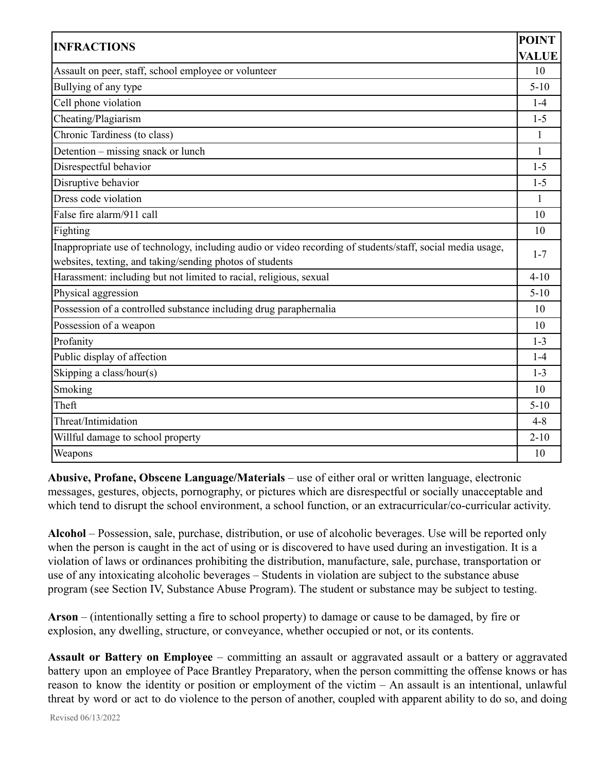| <b>POINT</b>                                                                                               |              |
|------------------------------------------------------------------------------------------------------------|--------------|
| <b>INFRACTIONS</b>                                                                                         | <b>VALUE</b> |
| Assault on peer, staff, school employee or volunteer                                                       | 10           |
| Bullying of any type                                                                                       | $5 - 10$     |
| Cell phone violation                                                                                       | $1-4$        |
| Cheating/Plagiarism                                                                                        | $1 - 5$      |
| Chronic Tardiness (to class)                                                                               | 1            |
| Detention – missing snack or lunch                                                                         | 1            |
| Disrespectful behavior                                                                                     | $1 - 5$      |
| Disruptive behavior                                                                                        | $1 - 5$      |
| Dress code violation                                                                                       | 1            |
| False fire alarm/911 call                                                                                  | 10           |
| Fighting                                                                                                   | 10           |
| Inappropriate use of technology, including audio or video recording of students/staff, social media usage, |              |
| websites, texting, and taking/sending photos of students                                                   | $1 - 7$      |
| Harassment: including but not limited to racial, religious, sexual                                         | $4 - 10$     |
| Physical aggression                                                                                        | $5 - 10$     |
| Possession of a controlled substance including drug paraphernalia                                          |              |
| Possession of a weapon                                                                                     | 10           |
| Profanity                                                                                                  | $1 - 3$      |
| Public display of affection                                                                                | $1-4$        |
| Skipping a class/hour(s)                                                                                   | $1 - 3$      |
| Smoking                                                                                                    | 10           |
| Theft                                                                                                      | $5-10$       |
| Threat/Intimidation                                                                                        | $4 - 8$      |
| Willful damage to school property                                                                          |              |
| Weapons                                                                                                    |              |

**Abusive, Profane, Obscene Language/Materials** – use of either oral or written language, electronic messages, gestures, objects, pornography, or pictures which are disrespectful or socially unacceptable and which tend to disrupt the school environment, a school function, or an extracurricular/co-curricular activity.

**Alcohol** – Possession, sale, purchase, distribution, or use of alcoholic beverages. Use will be reported only when the person is caught in the act of using or is discovered to have used during an investigation. It is a violation of laws or ordinances prohibiting the distribution, manufacture, sale, purchase, transportation or use of any intoxicating alcoholic beverages – Students in violation are subject to the substance abuse program (see Section IV, Substance Abuse Program). The student or substance may be subject to testing.

**Arson** – (intentionally setting a fire to school property) to damage or cause to be damaged, by fire or explosion, any dwelling, structure, or conveyance, whether occupied or not, or its contents.

**Assault or Battery on Employee** – committing an assault or aggravated assault or a battery or aggravated battery upon an employee of Pace Brantley Preparatory, when the person committing the offense knows or has reason to know the identity or position or employment of the victim – An assault is an intentional, unlawful threat by word or act to do violence to the person of another, coupled with apparent ability to do so, and doing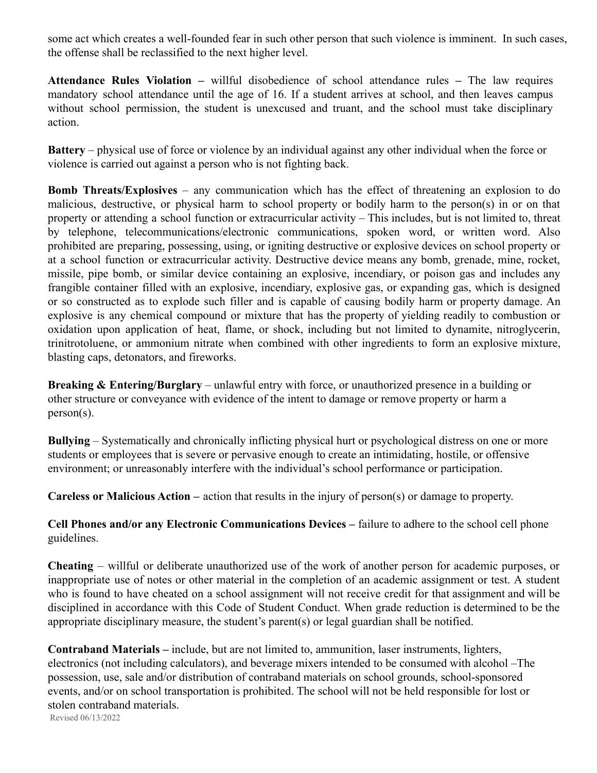some act which creates a well-founded fear in such other person that such violence is imminent. In such cases, the offense shall be reclassified to the next higher level.

**Attendance Rules Violation –** willful disobedience of school attendance rules **–** The law requires mandatory school attendance until the age of 16. If a student arrives at school, and then leaves campus without school permission, the student is unexcused and truant, and the school must take disciplinary action.

**Battery** – physical use of force or violence by an individual against any other individual when the force or violence is carried out against a person who is not fighting back.

**Bomb Threats/Explosives** – any communication which has the effect of threatening an explosion to do malicious, destructive, or physical harm to school property or bodily harm to the person(s) in or on that property or attending a school function or extracurricular activity – This includes, but is not limited to, threat by telephone, telecommunications/electronic communications, spoken word, or written word. Also prohibited are preparing, possessing, using, or igniting destructive or explosive devices on school property or at a school function or extracurricular activity. Destructive device means any bomb, grenade, mine, rocket, missile, pipe bomb, or similar device containing an explosive, incendiary, or poison gas and includes any frangible container filled with an explosive, incendiary, explosive gas, or expanding gas, which is designed or so constructed as to explode such filler and is capable of causing bodily harm or property damage. An explosive is any chemical compound or mixture that has the property of yielding readily to combustion or oxidation upon application of heat, flame, or shock, including but not limited to dynamite, nitroglycerin, trinitrotoluene, or ammonium nitrate when combined with other ingredients to form an explosive mixture, blasting caps, detonators, and fireworks.

**Breaking & Entering/Burglary** – unlawful entry with force, or unauthorized presence in a building or other structure or conveyance with evidence of the intent to damage or remove property or harm a person(s).

**Bullying** – Systematically and chronically inflicting physical hurt or psychological distress on one or more students or employees that is severe or pervasive enough to create an intimidating, hostile, or offensive environment; or unreasonably interfere with the individual's school performance or participation.

**Careless or Malicious Action –** action that results in the injury of person(s) or damage to property.

**Cell Phones and/or any Electronic Communications Devices –** failure to adhere to the school cell phone guidelines.

**Cheating** – willful or deliberate unauthorized use of the work of another person for academic purposes, or inappropriate use of notes or other material in the completion of an academic assignment or test. A student who is found to have cheated on a school assignment will not receive credit for that assignment and will be disciplined in accordance with this Code of Student Conduct. When grade reduction is determined to be the appropriate disciplinary measure, the student's parent(s) or legal guardian shall be notified.

**Contraband Materials –** include, but are not limited to, ammunition, laser instruments, lighters, electronics (not including calculators), and beverage mixers intended to be consumed with alcohol –The possession, use, sale and/or distribution of contraband materials on school grounds, school-sponsored events, and/or on school transportation is prohibited. The school will not be held responsible for lost or stolen contraband materials.

Revised 06/13/2022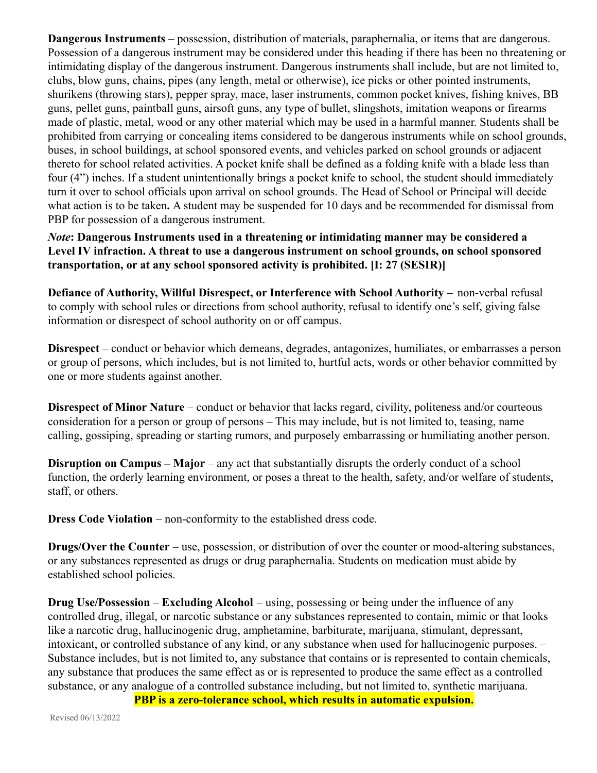**Dangerous Instruments** – possession, distribution of materials, paraphernalia, or items that are dangerous. Possession of a dangerous instrument may be considered under this heading if there has been no threatening or intimidating display of the dangerous instrument. Dangerous instruments shall include, but are not limited to, clubs, blow guns, chains, pipes (any length, metal or otherwise), ice picks or other pointed instruments, shurikens (throwing stars), pepper spray, mace, laser instruments, common pocket knives, fishing knives, BB guns, pellet guns, paintball guns, airsoft guns, any type of bullet, slingshots, imitation weapons or firearms made of plastic, metal, wood or any other material which may be used in a harmful manner. Students shall be prohibited from carrying or concealing items considered to be dangerous instruments while on school grounds, buses, in school buildings, at school sponsored events, and vehicles parked on school grounds or adjacent thereto for school related activities. A pocket knife shall be defined as a folding knife with a blade less than four (4") inches. If a student unintentionally brings a pocket knife to school, the student should immediately turn it over to school officials upon arrival on school grounds. The Head of School or Principal will decide what action is to be taken**.** A student may be suspended for 10 days and be recommended for dismissal from PBP for possession of a dangerous instrument.

*Note***: Dangerous Instruments used in a threatening or intimidating manner may be considered a Level IV infraction. A threat to use a dangerous instrument on school grounds, on school sponsored transportation, or at any school sponsored activity is prohibited. [I: 27 (SESIR)]**

**Defiance of Authority, Willful Disrespect, or Interference with School Authority –** non-verbal refusal to comply with school rules or directions from school authority, refusal to identify one's self, giving false information or disrespect of school authority on or off campus.

**Disrespect** – conduct or behavior which demeans, degrades, antagonizes, humiliates, or embarrasses a person or group of persons, which includes, but is not limited to, hurtful acts, words or other behavior committed by one or more students against another.

**Disrespect of Minor Nature** – conduct or behavior that lacks regard, civility, politeness and/or courteous consideration for a person or group of persons – This may include, but is not limited to, teasing, name calling, gossiping, spreading or starting rumors, and purposely embarrassing or humiliating another person.

**Disruption on Campus – Major** – any act that substantially disrupts the orderly conduct of a school function, the orderly learning environment, or poses a threat to the health, safety, and/or welfare of students, staff, or others.

**Dress Code Violation** – non-conformity to the established dress code.

**Drugs/Over the Counter** – use, possession, or distribution of over the counter or mood-altering substances, or any substances represented as drugs or drug paraphernalia. Students on medication must abide by established school policies.

**Drug Use/Possession** – **Excluding Alcohol** – using, possessing or being under the influence of any controlled drug, illegal, or narcotic substance or any substances represented to contain, mimic or that looks like a narcotic drug, hallucinogenic drug, amphetamine, barbiturate, marijuana, stimulant, depressant, intoxicant, or controlled substance of any kind, or any substance when used for hallucinogenic purposes. – Substance includes, but is not limited to, any substance that contains or is represented to contain chemicals, any substance that produces the same effect as or is represented to produce the same effect as a controlled substance, or any analogue of a controlled substance including, but not limited to, synthetic marijuana.

**PBP is a zero-tolerance school, which results in automatic expulsion.**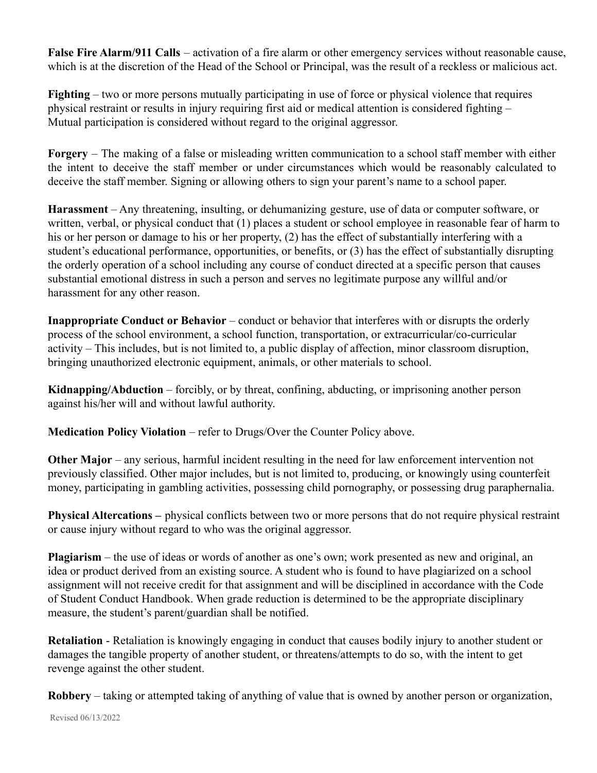**False Fire Alarm/911 Calls** – activation of a fire alarm or other emergency services without reasonable cause, which is at the discretion of the Head of the School or Principal, was the result of a reckless or malicious act.

**Fighting** – two or more persons mutually participating in use of force or physical violence that requires physical restraint or results in injury requiring first aid or medical attention is considered fighting – Mutual participation is considered without regard to the original aggressor.

**Forgery** – The making of a false or misleading written communication to a school staff member with either the intent to deceive the staff member or under circumstances which would be reasonably calculated to deceive the staff member. Signing or allowing others to sign your parent's name to a school paper.

**Harassment** – Any threatening, insulting, or dehumanizing gesture, use of data or computer software, or written, verbal, or physical conduct that (1) places a student or school employee in reasonable fear of harm to his or her person or damage to his or her property, (2) has the effect of substantially interfering with a student's educational performance, opportunities, or benefits, or (3) has the effect of substantially disrupting the orderly operation of a school including any course of conduct directed at a specific person that causes substantial emotional distress in such a person and serves no legitimate purpose any willful and/or harassment for any other reason.

**Inappropriate Conduct or Behavior** – conduct or behavior that interferes with or disrupts the orderly process of the school environment, a school function, transportation, or extracurricular/co-curricular activity – This includes, but is not limited to, a public display of affection, minor classroom disruption, bringing unauthorized electronic equipment, animals, or other materials to school.

**Kidnapping/Abduction** – forcibly, or by threat, confining, abducting, or imprisoning another person against his/her will and without lawful authority.

**Medication Policy Violation** – refer to Drugs/Over the Counter Policy above.

**Other Major** – any serious, harmful incident resulting in the need for law enforcement intervention not previously classified. Other major includes, but is not limited to, producing, or knowingly using counterfeit money, participating in gambling activities, possessing child pornography, or possessing drug paraphernalia.

**Physical Altercations –** physical conflicts between two or more persons that do not require physical restraint or cause injury without regard to who was the original aggressor.

**Plagiarism** – the use of ideas or words of another as one's own; work presented as new and original, an idea or product derived from an existing source. A student who is found to have plagiarized on a school assignment will not receive credit for that assignment and will be disciplined in accordance with the Code of Student Conduct Handbook. When grade reduction is determined to be the appropriate disciplinary measure, the student's parent/guardian shall be notified.

**Retaliation** - Retaliation is knowingly engaging in conduct that causes bodily injury to another student or damages the tangible property of another student, or threatens/attempts to do so, with the intent to get revenge against the other student.

**Robbery** – taking or attempted taking of anything of value that is owned by another person or organization,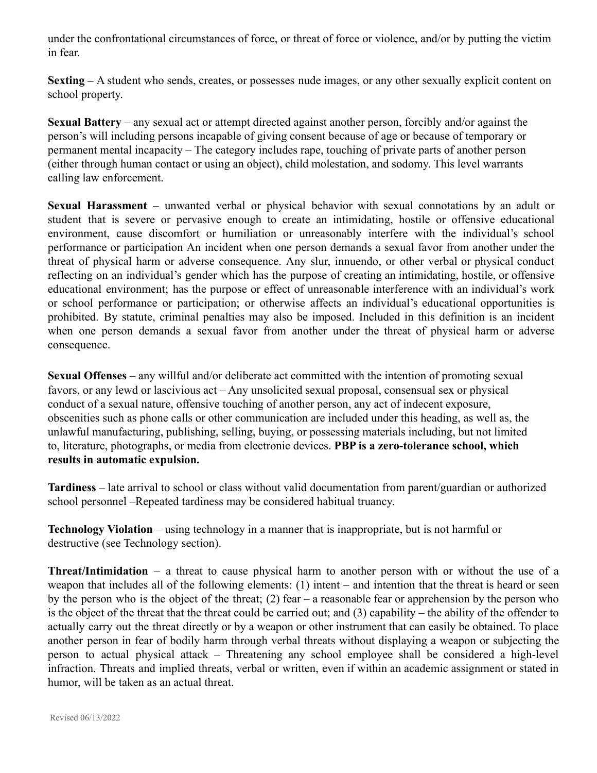under the confrontational circumstances of force, or threat of force or violence, and/or by putting the victim in fear.

**Sexting –** A student who sends, creates, or possesses nude images, or any other sexually explicit content on school property.

**Sexual Battery** – any sexual act or attempt directed against another person, forcibly and/or against the person's will including persons incapable of giving consent because of age or because of temporary or permanent mental incapacity – The category includes rape, touching of private parts of another person (either through human contact or using an object), child molestation, and sodomy. This level warrants calling law enforcement.

**Sexual Harassment** – unwanted verbal or physical behavior with sexual connotations by an adult or student that is severe or pervasive enough to create an intimidating, hostile or offensive educational environment, cause discomfort or humiliation or unreasonably interfere with the individual's school performance or participation An incident when one person demands a sexual favor from another under the threat of physical harm or adverse consequence. Any slur, innuendo, or other verbal or physical conduct reflecting on an individual's gender which has the purpose of creating an intimidating, hostile, or offensive educational environment; has the purpose or effect of unreasonable interference with an individual's work or school performance or participation; or otherwise affects an individual's educational opportunities is prohibited. By statute, criminal penalties may also be imposed. Included in this definition is an incident when one person demands a sexual favor from another under the threat of physical harm or adverse consequence.

**Sexual Offenses** – any willful and/or deliberate act committed with the intention of promoting sexual favors, or any lewd or lascivious act – Any unsolicited sexual proposal, consensual sex or physical conduct of a sexual nature, offensive touching of another person, any act of indecent exposure, obscenities such as phone calls or other communication are included under this heading, as well as, the unlawful manufacturing, publishing, selling, buying, or possessing materials including, but not limited to, literature, photographs, or media from electronic devices. **PBP is a zero-tolerance school, which results in automatic expulsion.**

**Tardiness** – late arrival to school or class without valid documentation from parent/guardian or authorized school personnel –Repeated tardiness may be considered habitual truancy.

**Technology Violation** – using technology in a manner that is inappropriate, but is not harmful or destructive (see Technology section).

**Threat/Intimidation** – a threat to cause physical harm to another person with or without the use of a weapon that includes all of the following elements: (1) intent – and intention that the threat is heard or seen by the person who is the object of the threat; (2) fear – a reasonable fear or apprehension by the person who is the object of the threat that the threat could be carried out; and (3) capability – the ability of the offender to actually carry out the threat directly or by a weapon or other instrument that can easily be obtained. To place another person in fear of bodily harm through verbal threats without displaying a weapon or subjecting the person to actual physical attack – Threatening any school employee shall be considered a high-level infraction. Threats and implied threats, verbal or written, even if within an academic assignment or stated in humor, will be taken as an actual threat.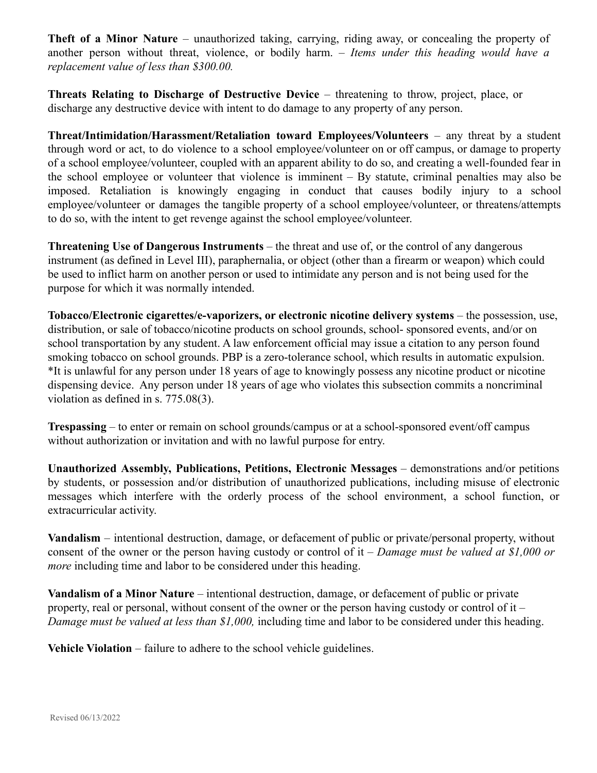**Theft of a Minor Nature** – unauthorized taking, carrying, riding away, or concealing the property of another person without threat, violence, or bodily harm. – *Items under this heading would have a replacement value of less than \$300.00.*

**Threats Relating to Discharge of Destructive Device** – threatening to throw, project, place, or discharge any destructive device with intent to do damage to any property of any person.

**Threat/Intimidation/Harassment/Retaliation toward Employees/Volunteers** – any threat by a student through word or act, to do violence to a school employee/volunteer on or off campus, or damage to property of a school employee/volunteer, coupled with an apparent ability to do so, and creating a well-founded fear in the school employee or volunteer that violence is imminent – By statute, criminal penalties may also be imposed. Retaliation is knowingly engaging in conduct that causes bodily injury to a school employee/volunteer or damages the tangible property of a school employee/volunteer, or threatens/attempts to do so, with the intent to get revenge against the school employee/volunteer.

**Threatening Use of Dangerous Instruments** – the threat and use of, or the control of any dangerous instrument (as defined in Level III), paraphernalia, or object (other than a firearm or weapon) which could be used to inflict harm on another person or used to intimidate any person and is not being used for the purpose for which it was normally intended.

**Tobacco/Electronic cigarettes/e-vaporizers, or electronic nicotine delivery systems** – the possession, use, distribution, or sale of tobacco/nicotine products on school grounds, school- sponsored events, and/or on school transportation by any student. A law enforcement official may issue a citation to any person found smoking tobacco on school grounds. PBP is a zero-tolerance school, which results in automatic expulsion. \*It is unlawful for any person under 18 years of age to knowingly possess any nicotine product or nicotine dispensing device. Any person under 18 years of age who violates this subsection commits a noncriminal violation as defined in s. 775.08(3).

**Trespassing** – to enter or remain on school grounds/campus or at a school-sponsored event/off campus without authorization or invitation and with no lawful purpose for entry.

**Unauthorized Assembly, Publications, Petitions, Electronic Messages** – demonstrations and/or petitions by students, or possession and/or distribution of unauthorized publications, including misuse of electronic messages which interfere with the orderly process of the school environment, a school function, or extracurricular activity.

**Vandalism** – intentional destruction, damage, or defacement of public or private/personal property, without consent of the owner or the person having custody or control of it – *Damage must be valued at \$1,000 or more* including time and labor to be considered under this heading.

**Vandalism of a Minor Nature** – intentional destruction, damage, or defacement of public or private property, real or personal, without consent of the owner or the person having custody or control of it – *Damage must be valued at less than \$1,000,* including time and labor to be considered under this heading.

**Vehicle Violation** – failure to adhere to the school vehicle guidelines.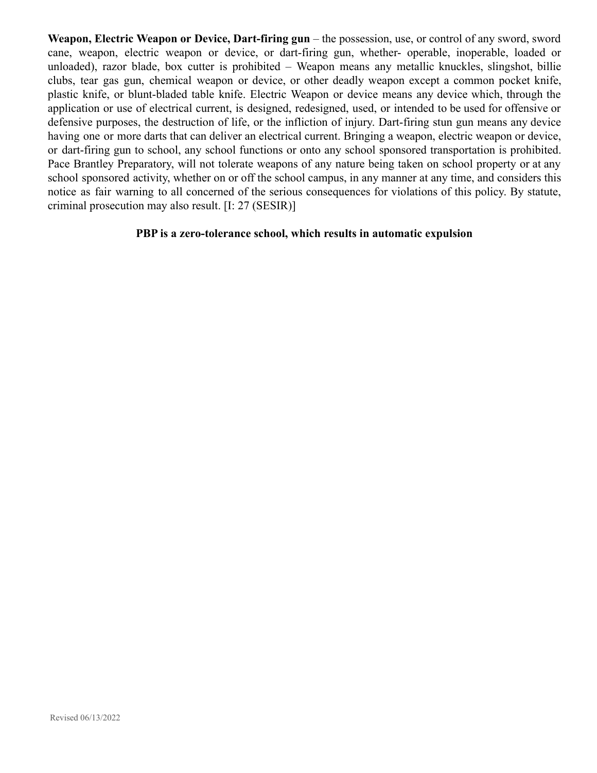**Weapon, Electric Weapon or Device, Dart-firing gun** – the possession, use, or control of any sword, sword cane, weapon, electric weapon or device, or dart-firing gun, whether- operable, inoperable, loaded or unloaded), razor blade, box cutter is prohibited – Weapon means any metallic knuckles, slingshot, billie clubs, tear gas gun, chemical weapon or device, or other deadly weapon except a common pocket knife, plastic knife, or blunt-bladed table knife. Electric Weapon or device means any device which, through the application or use of electrical current, is designed, redesigned, used, or intended to be used for offensive or defensive purposes, the destruction of life, or the infliction of injury. Dart-firing stun gun means any device having one or more darts that can deliver an electrical current. Bringing a weapon, electric weapon or device, or dart-firing gun to school, any school functions or onto any school sponsored transportation is prohibited. Pace Brantley Preparatory, will not tolerate weapons of any nature being taken on school property or at any school sponsored activity, whether on or off the school campus, in any manner at any time, and considers this notice as fair warning to all concerned of the serious consequences for violations of this policy. By statute, criminal prosecution may also result. [I: 27 (SESIR)]

### **PBP is a zero-tolerance school, which results in automatic expulsion**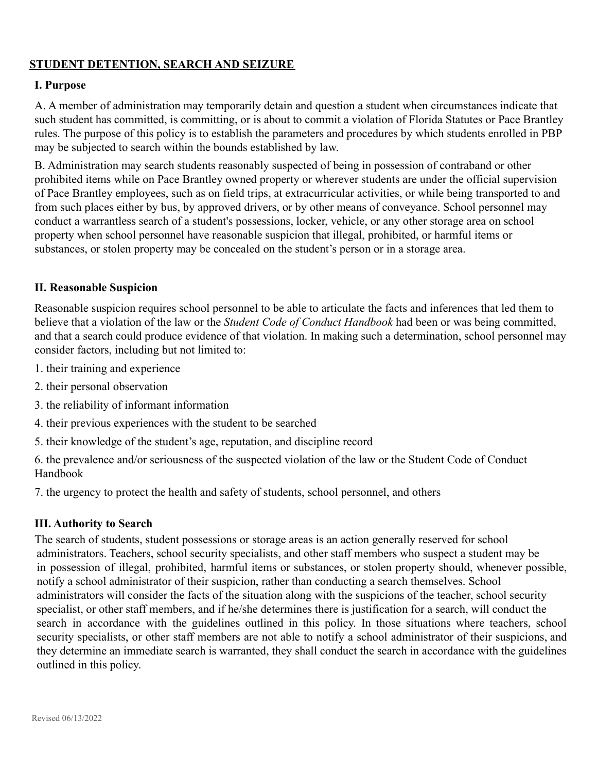# **STUDENT DETENTION, SEARCH AND SEIZURE**

### **I. Purpose**

A. A member of administration may temporarily detain and question a student when circumstances indicate that such student has committed, is committing, or is about to commit a violation of Florida Statutes or Pace Brantley rules. The purpose of this policy is to establish the parameters and procedures by which students enrolled in PBP may be subjected to search within the bounds established by law.

B. Administration may search students reasonably suspected of being in possession of contraband or other prohibited items while on Pace Brantley owned property or wherever students are under the official supervision of Pace Brantley employees, such as on field trips, at extracurricular activities, or while being transported to and from such places either by bus, by approved drivers, or by other means of conveyance. School personnel may conduct a warrantless search of a student's possessions, locker, vehicle, or any other storage area on school property when school personnel have reasonable suspicion that illegal, prohibited, or harmful items or substances, or stolen property may be concealed on the student's person or in a storage area.

#### **II. Reasonable Suspicion**

Reasonable suspicion requires school personnel to be able to articulate the facts and inferences that led them to believe that a violation of the law or the *Student Code of Conduct Handbook* had been or was being committed, and that a search could produce evidence of that violation. In making such a determination, school personnel may consider factors, including but not limited to:

- 1. their training and experience
- 2. their personal observation
- 3. the reliability of informant information
- 4. their previous experiences with the student to be searched
- 5. their knowledge of the student's age, reputation, and discipline record

6. the prevalence and/or seriousness of the suspected violation of the law or the Student Code of Conduct Handbook

7. the urgency to protect the health and safety of students, school personnel, and others

#### **III. Authority to Search**

The search of students, student possessions or storage areas is an action generally reserved for school administrators. Teachers, school security specialists, and other staff members who suspect a student may be in possession of illegal, prohibited, harmful items or substances, or stolen property should, whenever possible, notify a school administrator of their suspicion, rather than conducting a search themselves. School administrators will consider the facts of the situation along with the suspicions of the teacher, school security specialist, or other staff members, and if he/she determines there is justification for a search, will conduct the search in accordance with the guidelines outlined in this policy. In those situations where teachers, school security specialists, or other staff members are not able to notify a school administrator of their suspicions, and they determine an immediate search is warranted, they shall conduct the search in accordance with the guidelines outlined in this policy.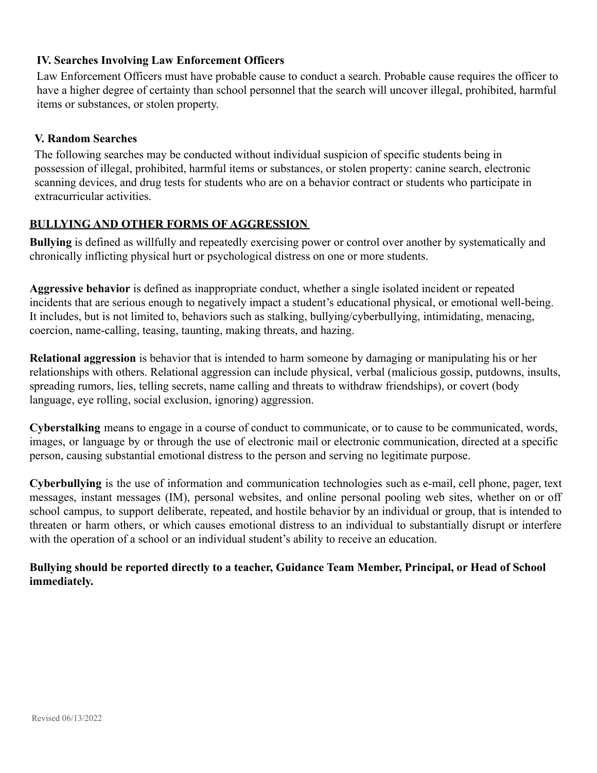## **IV. Searches Involving Law Enforcement Officers**

Law Enforcement Officers must have probable cause to conduct a search. Probable cause requires the officer to have a higher degree of certainty than school personnel that the search will uncover illegal, prohibited, harmful items or substances, or stolen property.

### **V. Random Searches**

The following searches may be conducted without individual suspicion of specific students being in possession of illegal, prohibited, harmful items or substances, or stolen property: canine search, electronic scanning devices, and drug tests for students who are on a behavior contract or students who participate in extracurricular activities.

# **BULLYING AND OTHER FORMS OF AGGRESSION**

**Bullying** is defined as willfully and repeatedly exercising power or control over another by systematically and chronically inflicting physical hurt or psychological distress on one or more students.

**Aggressive behavior** is defined as inappropriate conduct, whether a single isolated incident or repeated incidents that are serious enough to negatively impact a student's educational physical, or emotional well-being. It includes, but is not limited to, behaviors such as stalking, bullying/cyberbullying, intimidating, menacing, coercion, name-calling, teasing, taunting, making threats, and hazing.

**Relational aggression** is behavior that is intended to harm someone by damaging or manipulating his or her relationships with others. Relational aggression can include physical, verbal (malicious gossip, putdowns, insults, spreading rumors, lies, telling secrets, name calling and threats to withdraw friendships), or covert (body language, eye rolling, social exclusion, ignoring) aggression.

**Cyberstalking** means to engage in a course of conduct to communicate, or to cause to be communicated, words, images, or language by or through the use of electronic mail or electronic communication, directed at a specific person, causing substantial emotional distress to the person and serving no legitimate purpose.

**Cyberbullying** is the use of information and communication technologies such as e-mail, cell phone, pager, text messages, instant messages (IM), personal websites, and online personal pooling web sites, whether on or off school campus, to support deliberate, repeated, and hostile behavior by an individual or group, that is intended to threaten or harm others, or which causes emotional distress to an individual to substantially disrupt or interfere with the operation of a school or an individual student's ability to receive an education.

**Bullying should be reported directly to a teacher, Guidance Team Member, Principal, or Head of School immediately.**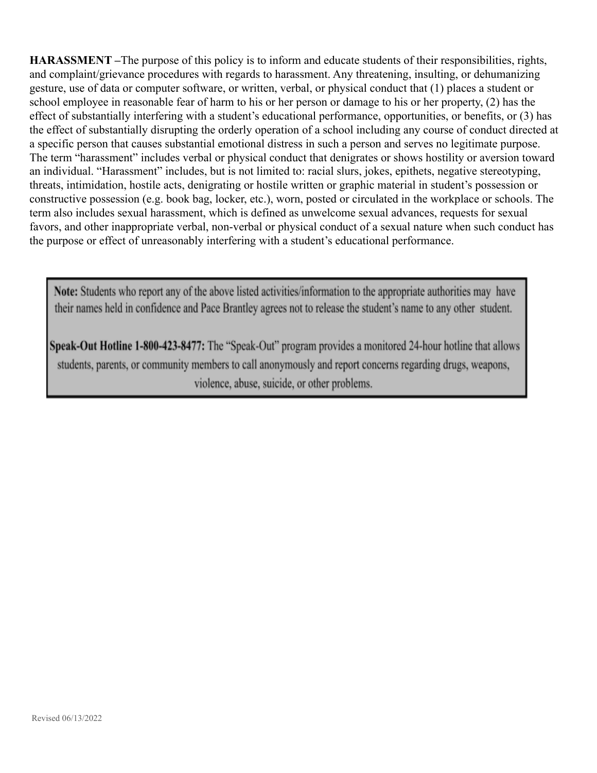**HARASSMENT –**The purpose of this policy is to inform and educate students of their responsibilities, rights, and complaint/grievance procedures with regards to harassment. Any threatening, insulting, or dehumanizing gesture, use of data or computer software, or written, verbal, or physical conduct that (1) places a student or school employee in reasonable fear of harm to his or her person or damage to his or her property, (2) has the effect of substantially interfering with a student's educational performance, opportunities, or benefits, or (3) has the effect of substantially disrupting the orderly operation of a school including any course of conduct directed at a specific person that causes substantial emotional distress in such a person and serves no legitimate purpose. The term "harassment" includes verbal or physical conduct that denigrates or shows hostility or aversion toward an individual. "Harassment" includes, but is not limited to: racial slurs, jokes, epithets, negative stereotyping, threats, intimidation, hostile acts, denigrating or hostile written or graphic material in student's possession or constructive possession (e.g. book bag, locker, etc.), worn, posted or circulated in the workplace or schools. The term also includes sexual harassment, which is defined as unwelcome sexual advances, requests for sexual favors, and other inappropriate verbal, non-verbal or physical conduct of a sexual nature when such conduct has the purpose or effect of unreasonably interfering with a student's educational performance.

Note: Students who report any of the above listed activities/information to the appropriate authorities may have their names held in confidence and Pace Brantley agrees not to release the student's name to any other student.

Speak-Out Hotline 1-800-423-8477: The "Speak-Out" program provides a monitored 24-hour hotline that allows students, parents, or community members to call anonymously and report concerns regarding drugs, weapons, violence, abuse, suicide, or other problems.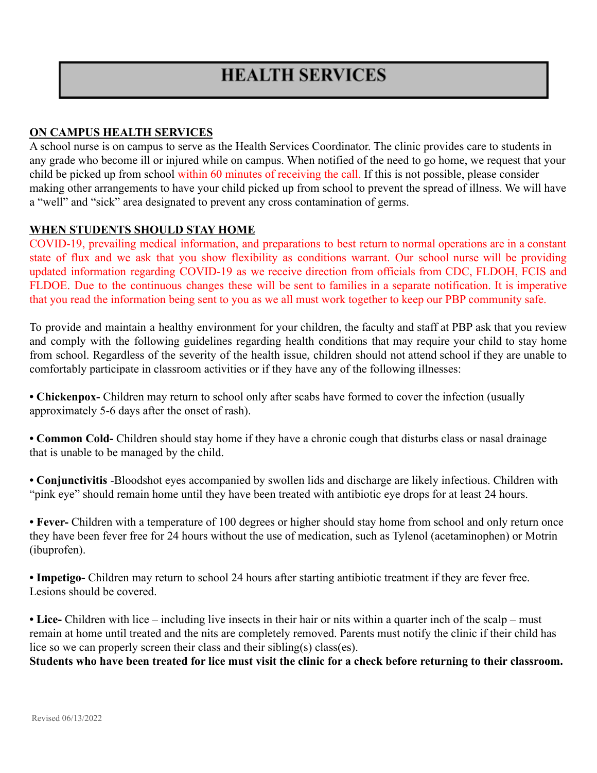# **ON CAMPUS HEALTH SERVICES**

A school nurse is on campus to serve as the Health Services Coordinator. The clinic provides care to students in any grade who become ill or injured while on campus. When notified of the need to go home, we request that your child be picked up from school within 60 minutes of receiving the call. If this is not possible, please consider making other arrangements to have your child picked up from school to prevent the spread of illness. We will have a "well" and "sick" area designated to prevent any cross contamination of germs.

## **WHEN STUDENTS SHOULD STAY HOME**

COVID-19, prevailing medical information, and preparations to best return to normal operations are in a constant state of flux and we ask that you show flexibility as conditions warrant. Our school nurse will be providing updated information regarding COVID-19 as we receive direction from officials from CDC, FLDOH, FCIS and FLDOE. Due to the continuous changes these will be sent to families in a separate notification. It is imperative that you read the information being sent to you as we all must work together to keep our PBP community safe.

To provide and maintain a healthy environment for your children, the faculty and staff at PBP ask that you review and comply with the following guidelines regarding health conditions that may require your child to stay home from school. Regardless of the severity of the health issue, children should not attend school if they are unable to comfortably participate in classroom activities or if they have any of the following illnesses:

**• Chickenpox-** Children may return to school only after scabs have formed to cover the infection (usually approximately 5-6 days after the onset of rash).

**• Common Cold-** Children should stay home if they have a chronic cough that disturbs class or nasal drainage that is unable to be managed by the child.

**• Conjunctivitis** -Bloodshot eyes accompanied by swollen lids and discharge are likely infectious. Children with "pink eye" should remain home until they have been treated with antibiotic eye drops for at least 24 hours.

**• Fever-** Children with a temperature of 100 degrees or higher should stay home from school and only return once they have been fever free for 24 hours without the use of medication, such as Tylenol (acetaminophen) or Motrin (ibuprofen).

**• Impetigo-** Children may return to school 24 hours after starting antibiotic treatment if they are fever free. Lesions should be covered.

**• Lice-** Children with lice – including live insects in their hair or nits within a quarter inch of the scalp – must remain at home until treated and the nits are completely removed. Parents must notify the clinic if their child has lice so we can properly screen their class and their sibling(s) class(es).

**Students who have been treated for lice must visit the clinic for a check before returning to their classroom.**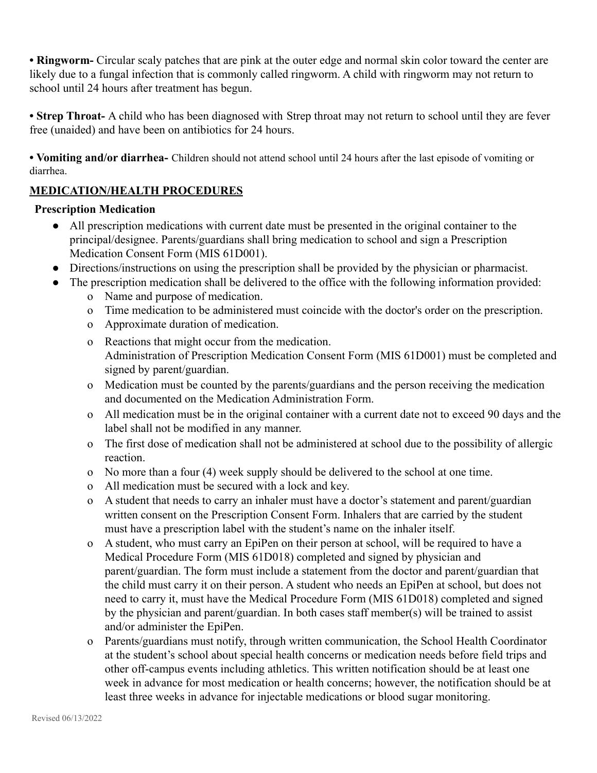**• Ringworm-** Circular scaly patches that are pink at the outer edge and normal skin color toward the center are likely due to a fungal infection that is commonly called ringworm. A child with ringworm may not return to school until 24 hours after treatment has begun.

**• Strep Throat-** A child who has been diagnosed with Strep throat may not return to school until they are fever free (unaided) and have been on antibiotics for 24 hours.

**• Vomiting and/or diarrhea-** Children should not attend school until 24 hours after the last episode of vomiting or diarrhea.

# **MEDICATION/HEALTH PROCEDURES**

# **Prescription Medication**

- All prescription medications with current date must be presented in the original container to the principal/designee. Parents/guardians shall bring medication to school and sign a Prescription Medication Consent Form (MIS 61D001).
- Directions/instructions on using the prescription shall be provided by the physician or pharmacist.
- The prescription medication shall be delivered to the office with the following information provided:
	- o Name and purpose of medication.
	- o Time medication to be administered must coincide with the doctor's order on the prescription.
	- o Approximate duration of medication.
	- o Reactions that might occur from the medication. Administration of Prescription Medication Consent Form (MIS 61D001) must be completed and signed by parent/guardian.
	- o Medication must be counted by the parents/guardians and the person receiving the medication and documented on the Medication Administration Form.
	- o All medication must be in the original container with a current date not to exceed 90 days and the label shall not be modified in any manner.
	- o The first dose of medication shall not be administered at school due to the possibility of allergic reaction.
	- o No more than a four (4) week supply should be delivered to the school at one time.
	- o All medication must be secured with a lock and key.
	- o A student that needs to carry an inhaler must have a doctor's statement and parent/guardian written consent on the Prescription Consent Form. Inhalers that are carried by the student must have a prescription label with the student's name on the inhaler itself.
	- o A student, who must carry an EpiPen on their person at school, will be required to have a Medical Procedure Form (MIS 61D018) completed and signed by physician and parent/guardian. The form must include a statement from the doctor and parent/guardian that the child must carry it on their person. A student who needs an EpiPen at school, but does not need to carry it, must have the Medical Procedure Form (MIS 61D018) completed and signed by the physician and parent/guardian. In both cases staff member(s) will be trained to assist and/or administer the EpiPen.
	- o Parents/guardians must notify, through written communication, the School Health Coordinator at the student's school about special health concerns or medication needs before field trips and other off-campus events including athletics. This written notification should be at least one week in advance for most medication or health concerns; however, the notification should be at least three weeks in advance for injectable medications or blood sugar monitoring.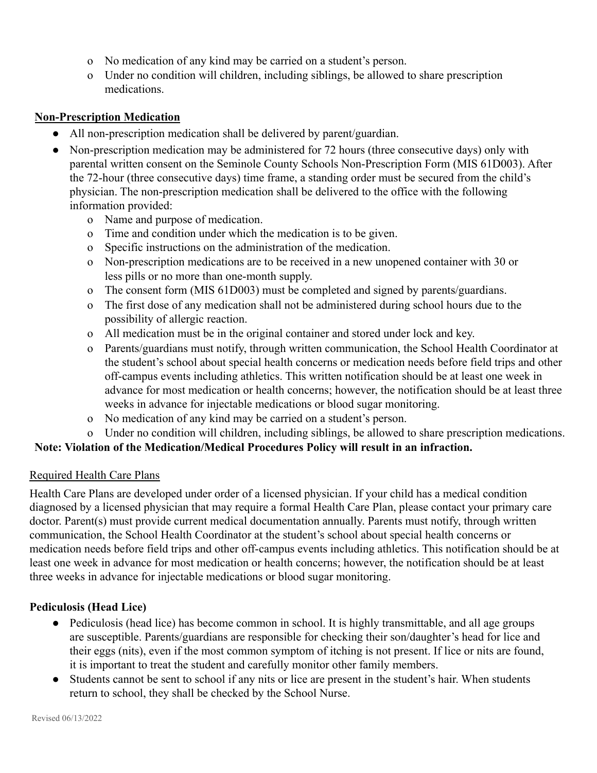- o No medication of any kind may be carried on a student's person.
- o Under no condition will children, including siblings, be allowed to share prescription medications.

## **Non-Prescription Medication**

- All non-prescription medication shall be delivered by parent/guardian.
- Non-prescription medication may be administered for 72 hours (three consecutive days) only with parental written consent on the Seminole County Schools Non-Prescription Form (MIS 61D003). After the 72-hour (three consecutive days) time frame, a standing order must be secured from the child's physician. The non-prescription medication shall be delivered to the office with the following information provided:
	- o Name and purpose of medication.
	- o Time and condition under which the medication is to be given.
	- o Specific instructions on the administration of the medication.
	- o Non-prescription medications are to be received in a new unopened container with 30 or less pills or no more than one-month supply.
	- o The consent form (MIS 61D003) must be completed and signed by parents/guardians.
	- o The first dose of any medication shall not be administered during school hours due to the possibility of allergic reaction.
	- o All medication must be in the original container and stored under lock and key.
	- o Parents/guardians must notify, through written communication, the School Health Coordinator at the student's school about special health concerns or medication needs before field trips and other off-campus events including athletics. This written notification should be at least one week in advance for most medication or health concerns; however, the notification should be at least three weeks in advance for injectable medications or blood sugar monitoring.
	- o No medication of any kind may be carried on a student's person.
- o Under no condition will children, including siblings, be allowed to share prescription medications. **Note: Violation of the Medication/Medical Procedures Policy will result in an infraction.**

# Required Health Care Plans

Health Care Plans are developed under order of a licensed physician. If your child has a medical condition diagnosed by a licensed physician that may require a formal Health Care Plan, please contact your primary care doctor. Parent(s) must provide current medical documentation annually. Parents must notify, through written communication, the School Health Coordinator at the student's school about special health concerns or medication needs before field trips and other off-campus events including athletics. This notification should be at least one week in advance for most medication or health concerns; however, the notification should be at least three weeks in advance for injectable medications or blood sugar monitoring.

# **Pediculosis (Head Lice)**

- Pediculosis (head lice) has become common in school. It is highly transmittable, and all age groups are susceptible. Parents/guardians are responsible for checking their son/daughter's head for lice and their eggs (nits), even if the most common symptom of itching is not present. If lice or nits are found, it is important to treat the student and carefully monitor other family members.
- Students cannot be sent to school if any nits or lice are present in the student's hair. When students return to school, they shall be checked by the School Nurse.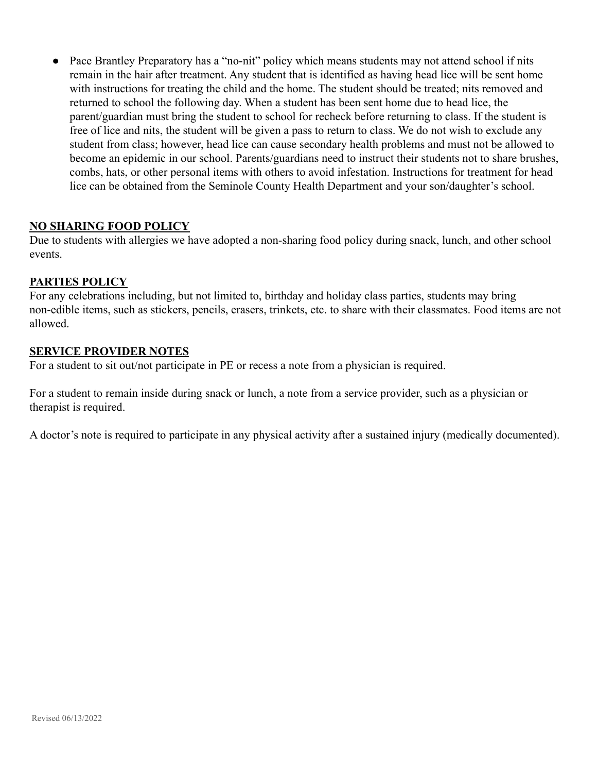• Pace Brantley Preparatory has a "no-nit" policy which means students may not attend school if nits remain in the hair after treatment. Any student that is identified as having head lice will be sent home with instructions for treating the child and the home. The student should be treated; nits removed and returned to school the following day. When a student has been sent home due to head lice, the parent/guardian must bring the student to school for recheck before returning to class. If the student is free of lice and nits, the student will be given a pass to return to class. We do not wish to exclude any student from class; however, head lice can cause secondary health problems and must not be allowed to become an epidemic in our school. Parents/guardians need to instruct their students not to share brushes, combs, hats, or other personal items with others to avoid infestation. Instructions for treatment for head lice can be obtained from the Seminole County Health Department and your son/daughter's school.

# **NO SHARING FOOD POLICY**

Due to students with allergies we have adopted a non-sharing food policy during snack, lunch, and other school events.

## **PARTIES POLICY**

For any celebrations including, but not limited to, birthday and holiday class parties, students may bring non-edible items, such as stickers, pencils, erasers, trinkets, etc. to share with their classmates. Food items are not allowed.

## **SERVICE PROVIDER NOTES**

For a student to sit out/not participate in PE or recess a note from a physician is required.

For a student to remain inside during snack or lunch, a note from a service provider, such as a physician or therapist is required.

A doctor's note is required to participate in any physical activity after a sustained injury (medically documented).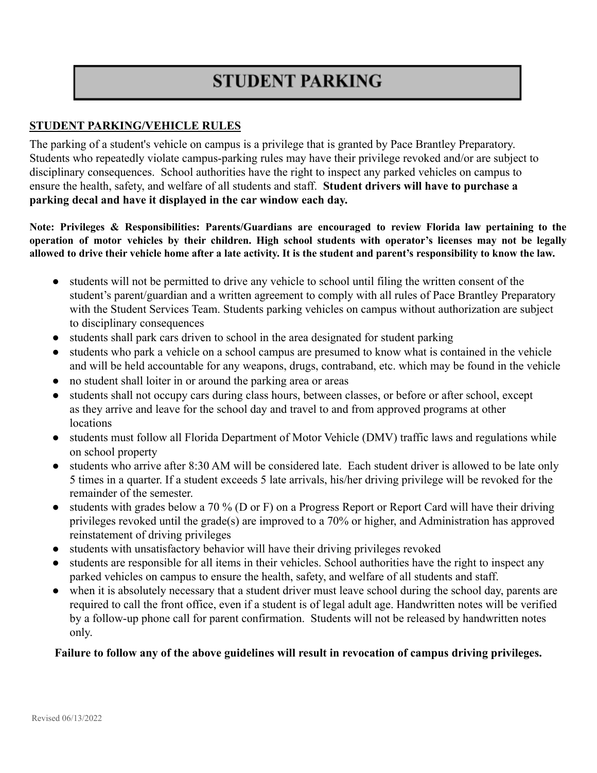# **STUDENT PARKING**

# **STUDENT PARKING/VEHICLE RULES**

The parking of a student's vehicle on campus is a privilege that is granted by Pace Brantley Preparatory. Students who repeatedly violate campus-parking rules may have their privilege revoked and/or are subject to disciplinary consequences. School authorities have the right to inspect any parked vehicles on campus to ensure the health, safety, and welfare of all students and staff. **Student drivers will have to purchase a parking decal and have it displayed in the car window each day.**

**Note: Privileges & Responsibilities: Parents/Guardians are encouraged to review Florida law pertaining to the** operation of motor vehicles by their children. High school students with operator's licenses may not be legally allowed to drive their vehicle home after a late activity. It is the student and parent's responsibility to know the law.

- students will not be permitted to drive any vehicle to school until filing the written consent of the student's parent/guardian and a written agreement to comply with all rules of Pace Brantley Preparatory with the Student Services Team. Students parking vehicles on campus without authorization are subject to disciplinary consequences
- students shall park cars driven to school in the area designated for student parking
- students who park a vehicle on a school campus are presumed to know what is contained in the vehicle and will be held accountable for any weapons, drugs, contraband, etc. which may be found in the vehicle
- no student shall loiter in or around the parking area or areas
- students shall not occupy cars during class hours, between classes, or before or after school, except as they arrive and leave for the school day and travel to and from approved programs at other locations
- students must follow all Florida Department of Motor Vehicle (DMV) traffic laws and regulations while on school property
- students who arrive after 8:30 AM will be considered late. Each student driver is allowed to be late only 5 times in a quarter. If a student exceeds 5 late arrivals, his/her driving privilege will be revoked for the remainder of the semester.
- students with grades below a 70 % (D or F) on a Progress Report or Report Card will have their driving privileges revoked until the grade(s) are improved to a 70% or higher, and Administration has approved reinstatement of driving privileges
- students with unsatisfactory behavior will have their driving privileges revoked
- students are responsible for all items in their vehicles. School authorities have the right to inspect any parked vehicles on campus to ensure the health, safety, and welfare of all students and staff.
- when it is absolutely necessary that a student driver must leave school during the school day, parents are required to call the front office, even if a student is of legal adult age. Handwritten notes will be verified by a follow-up phone call for parent confirmation. Students will not be released by handwritten notes only.

## **Failure to follow any of the above guidelines will result in revocation of campus driving privileges.**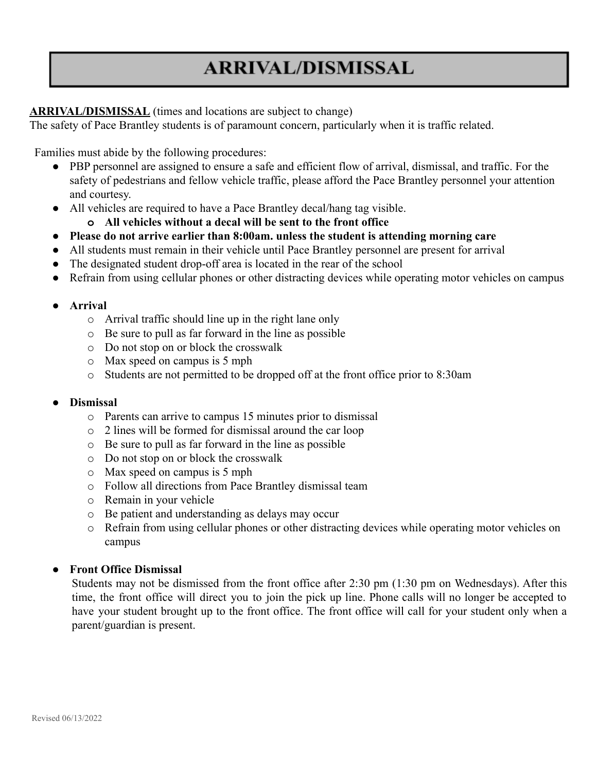# **ARRIVAL/DISMISSAL**

# **ARRIVAL/DISMISSAL** (times and locations are subject to change)

The safety of Pace Brantley students is of paramount concern, particularly when it is traffic related.

Families must abide by the following procedures:

- PBP personnel are assigned to ensure a safe and efficient flow of arrival, dismissal, and traffic. For the safety of pedestrians and fellow vehicle traffic, please afford the Pace Brantley personnel your attention and courtesy.
- All vehicles are required to have a Pace Brantley decal/hang tag visible.
	- **o All vehicles without a decal will be sent to the front office**
- **● Please do not arrive earlier than 8:00am. unless the student is attending morning care**
- All students must remain in their vehicle until Pace Brantley personnel are present for arrival
- The designated student drop-off area is located in the rear of the school
- Refrain from using cellular phones or other distracting devices while operating motor vehicles on campus

## **● Arrival**

- o Arrival traffic should line up in the right lane only
- o Be sure to pull as far forward in the line as possible
- o Do not stop on or block the crosswalk
- o Max speed on campus is 5 mph
- o Students are not permitted to be dropped off at the front office prior to 8:30am

## **● Dismissal**

- o Parents can arrive to campus 15 minutes prior to dismissal
- o 2 lines will be formed for dismissal around the car loop
- o Be sure to pull as far forward in the line as possible
- o Do not stop on or block the crosswalk
- o Max speed on campus is 5 mph
- o Follow all directions from Pace Brantley dismissal team
- o Remain in your vehicle
- o Be patient and understanding as delays may occur
- o Refrain from using cellular phones or other distracting devices while operating motor vehicles on campus

## **● Front Office Dismissal**

Students may not be dismissed from the front office after 2:30 pm (1:30 pm on Wednesdays). After this time, the front office will direct you to join the pick up line. Phone calls will no longer be accepted to have your student brought up to the front office. The front office will call for your student only when a parent/guardian is present.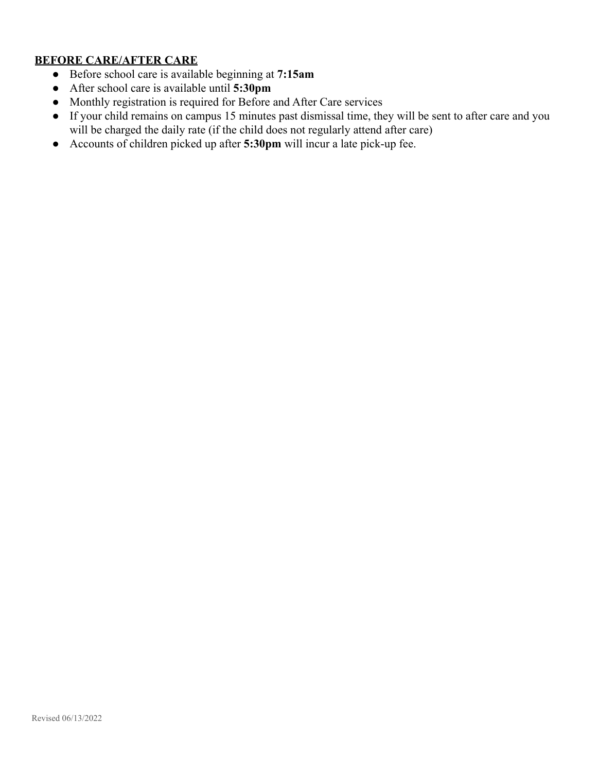# **BEFORE CARE/AFTER CARE**

- Before school care is available beginning at **7:15am**
- After school care is available until **5:30pm**
- Monthly registration is required for Before and After Care services
- If your child remains on campus 15 minutes past dismissal time, they will be sent to after care and you will be charged the daily rate (if the child does not regularly attend after care)
- Accounts of children picked up after **5:30pm** will incur a late pick-up fee.